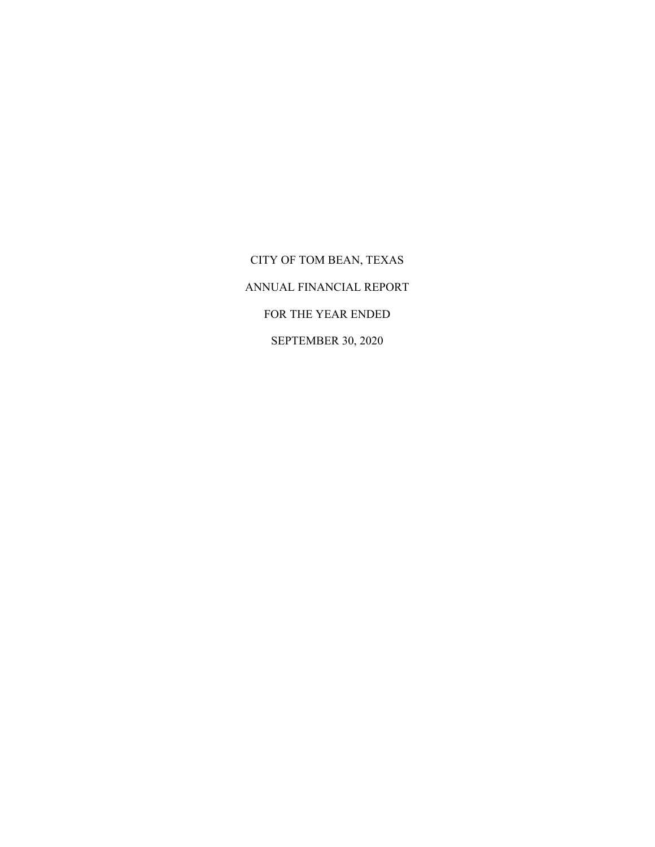CITY OF TOM BEAN, TEXAS ANNUAL FINANCIAL REPORT FOR THE YEAR ENDED SEPTEMBER 30, 2020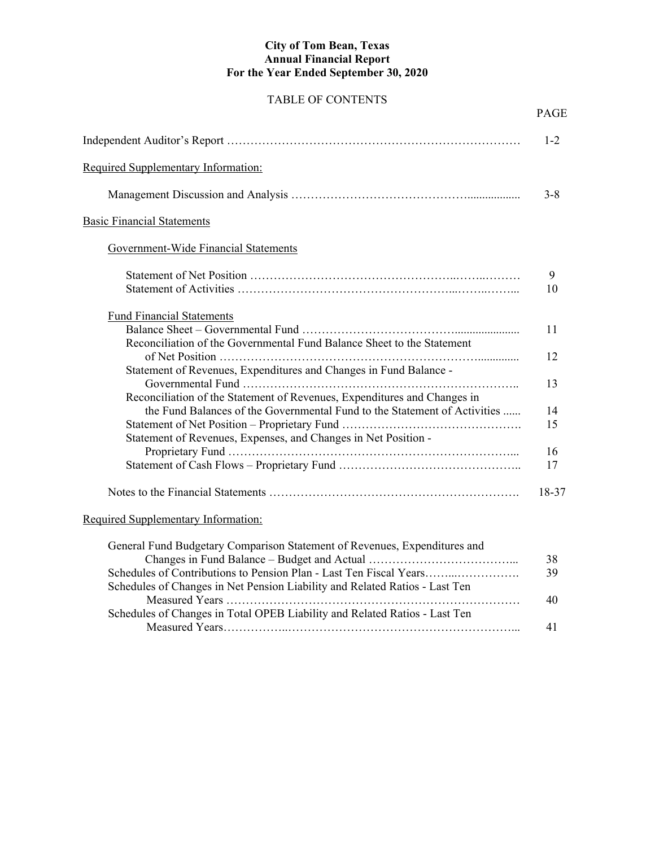#### **City of Tom Bean, Texas Annual Financial Report For the Year Ended September 30, 2020**

## TABLE OF CONTENTS

|                                                                                                                                               | <b>PAGE</b> |
|-----------------------------------------------------------------------------------------------------------------------------------------------|-------------|
|                                                                                                                                               | $1 - 2$     |
| Required Supplementary Information:                                                                                                           |             |
|                                                                                                                                               | $3 - 8$     |
| <b>Basic Financial Statements</b>                                                                                                             |             |
| Government-Wide Financial Statements                                                                                                          |             |
|                                                                                                                                               | 9<br>10     |
| <b>Fund Financial Statements</b>                                                                                                              |             |
| Reconciliation of the Governmental Fund Balance Sheet to the Statement                                                                        | 11          |
|                                                                                                                                               | 12          |
| Statement of Revenues, Expenditures and Changes in Fund Balance -<br>Reconciliation of the Statement of Revenues, Expenditures and Changes in | 13          |
| the Fund Balances of the Governmental Fund to the Statement of Activities                                                                     | 14          |
| Statement of Revenues, Expenses, and Changes in Net Position -                                                                                | 15          |
|                                                                                                                                               | 16          |
|                                                                                                                                               | 17          |
|                                                                                                                                               | 18-37       |
| Required Supplementary Information:                                                                                                           |             |

| General Fund Budgetary Comparison Statement of Revenues, Expenditures and   |    |
|-----------------------------------------------------------------------------|----|
|                                                                             | 38 |
| Schedules of Contributions to Pension Plan - Last Ten Fiscal Years          | 39 |
| Schedules of Changes in Net Pension Liability and Related Ratios - Last Ten |    |
|                                                                             | 40 |
| Schedules of Changes in Total OPEB Liability and Related Ratios - Last Ten  |    |
|                                                                             |    |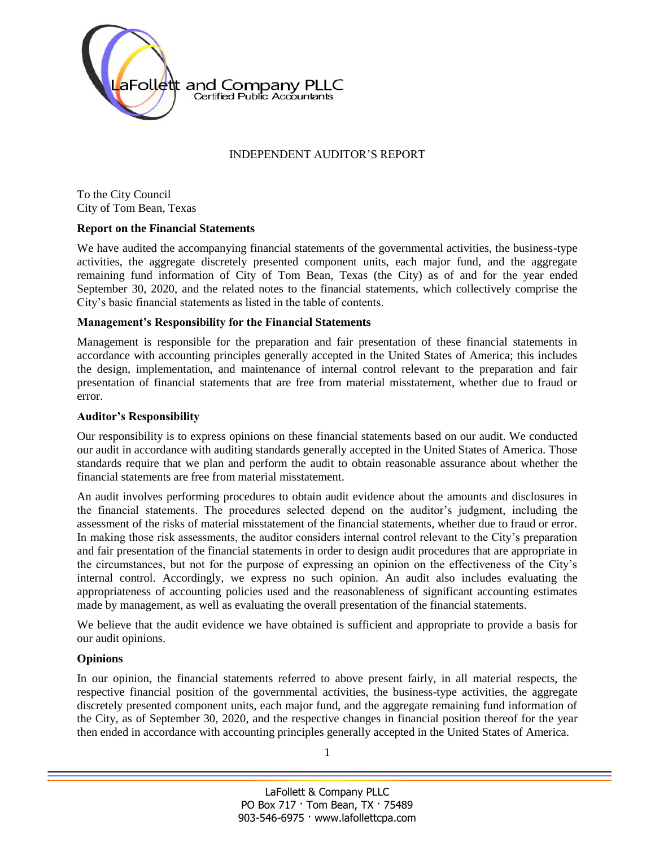

## INDEPENDENT AUDITOR'S REPORT

To the City Council City of Tom Bean, Texas

#### **Report on the Financial Statements**

We have audited the accompanying financial statements of the governmental activities, the business-type activities, the aggregate discretely presented component units, each major fund, and the aggregate remaining fund information of City of Tom Bean, Texas (the City) as of and for the year ended September 30, 2020, and the related notes to the financial statements, which collectively comprise the City's basic financial statements as listed in the table of contents.

#### **Management's Responsibility for the Financial Statements**

Management is responsible for the preparation and fair presentation of these financial statements in accordance with accounting principles generally accepted in the United States of America; this includes the design, implementation, and maintenance of internal control relevant to the preparation and fair presentation of financial statements that are free from material misstatement, whether due to fraud or error.

#### **Auditor's Responsibility**

Our responsibility is to express opinions on these financial statements based on our audit. We conducted our audit in accordance with auditing standards generally accepted in the United States of America. Those standards require that we plan and perform the audit to obtain reasonable assurance about whether the financial statements are free from material misstatement.

An audit involves performing procedures to obtain audit evidence about the amounts and disclosures in the financial statements. The procedures selected depend on the auditor's judgment, including the assessment of the risks of material misstatement of the financial statements, whether due to fraud or error. In making those risk assessments, the auditor considers internal control relevant to the City's preparation and fair presentation of the financial statements in order to design audit procedures that are appropriate in the circumstances, but not for the purpose of expressing an opinion on the effectiveness of the City's internal control. Accordingly, we express no such opinion. An audit also includes evaluating the appropriateness of accounting policies used and the reasonableness of significant accounting estimates made by management, as well as evaluating the overall presentation of the financial statements.

We believe that the audit evidence we have obtained is sufficient and appropriate to provide a basis for our audit opinions.

## **Opinions**

In our opinion, the financial statements referred to above present fairly, in all material respects, the respective financial position of the governmental activities, the business-type activities, the aggregate discretely presented component units, each major fund, and the aggregate remaining fund information of the City, as of September 30, 2020, and the respective changes in financial position thereof for the year then ended in accordance with accounting principles generally accepted in the United States of America.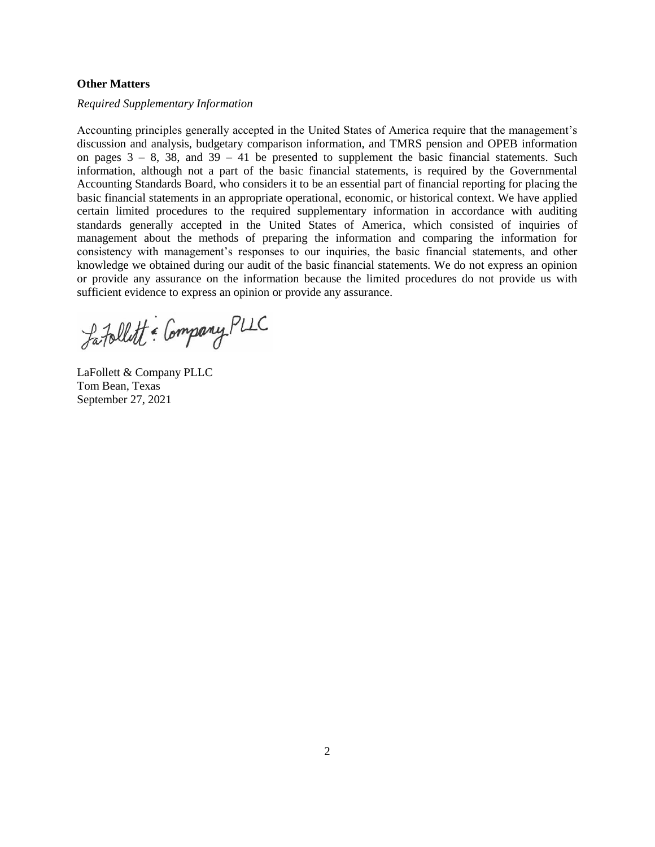#### **Other Matters**

#### *Required Supplementary Information*

Accounting principles generally accepted in the United States of America require that the management's discussion and analysis, budgetary comparison information, and TMRS pension and OPEB information on pages  $3 - 8$ , 38, and  $39 - 41$  be presented to supplement the basic financial statements. Such information, although not a part of the basic financial statements, is required by the Governmental Accounting Standards Board, who considers it to be an essential part of financial reporting for placing the basic financial statements in an appropriate operational, economic, or historical context. We have applied certain limited procedures to the required supplementary information in accordance with auditing standards generally accepted in the United States of America, which consisted of inquiries of management about the methods of preparing the information and comparing the information for consistency with management's responses to our inquiries, the basic financial statements, and other knowledge we obtained during our audit of the basic financial statements. We do not express an opinion or provide any assurance on the information because the limited procedures do not provide us with sufficient evidence to express an opinion or provide any assurance.

Latallett = Company PLLC

LaFollett & Company PLLC Tom Bean, Texas September 27, 2021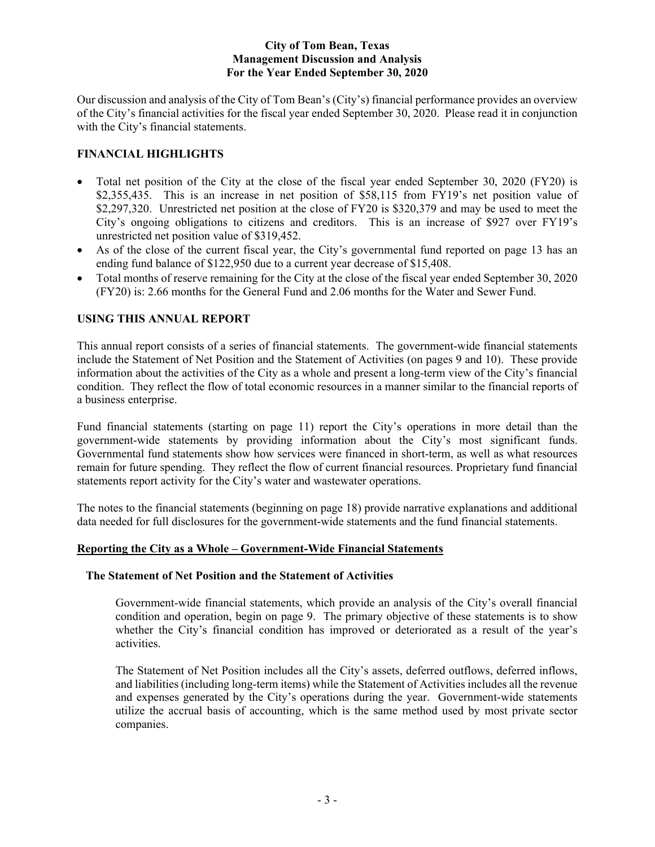Our discussion and analysis of the City of Tom Bean's (City's) financial performance provides an overview of the City's financial activities for the fiscal year ended September 30, 2020. Please read it in conjunction with the City's financial statements.

## **FINANCIAL HIGHLIGHTS**

- Total net position of the City at the close of the fiscal year ended September 30, 2020 (FY20) is \$2,355,435. This is an increase in net position of \$58,115 from FY19's net position value of \$2,297,320. Unrestricted net position at the close of FY20 is \$320,379 and may be used to meet the City's ongoing obligations to citizens and creditors. This is an increase of \$927 over FY19's unrestricted net position value of \$319,452.
- As of the close of the current fiscal year, the City's governmental fund reported on page 13 has an ending fund balance of \$122,950 due to a current year decrease of \$15,408.
- Total months of reserve remaining for the City at the close of the fiscal year ended September 30, 2020 (FY20) is: 2.66 months for the General Fund and 2.06 months for the Water and Sewer Fund.

## **USING THIS ANNUAL REPORT**

This annual report consists of a series of financial statements. The government-wide financial statements include the Statement of Net Position and the Statement of Activities (on pages 9 and 10). These provide information about the activities of the City as a whole and present a long-term view of the City's financial condition. They reflect the flow of total economic resources in a manner similar to the financial reports of a business enterprise.

Fund financial statements (starting on page 11) report the City's operations in more detail than the government-wide statements by providing information about the City's most significant funds. Governmental fund statements show how services were financed in short-term, as well as what resources remain for future spending. They reflect the flow of current financial resources. Proprietary fund financial statements report activity for the City's water and wastewater operations.

The notes to the financial statements (beginning on page 18) provide narrative explanations and additional data needed for full disclosures for the government-wide statements and the fund financial statements.

## **Reporting the City as a Whole – Government-Wide Financial Statements**

#### **The Statement of Net Position and the Statement of Activities**

 Government-wide financial statements, which provide an analysis of the City's overall financial condition and operation, begin on page 9. The primary objective of these statements is to show whether the City's financial condition has improved or deteriorated as a result of the year's activities.

 The Statement of Net Position includes all the City's assets, deferred outflows, deferred inflows, and liabilities (including long-term items) while the Statement of Activities includes all the revenue and expenses generated by the City's operations during the year. Government-wide statements utilize the accrual basis of accounting, which is the same method used by most private sector companies.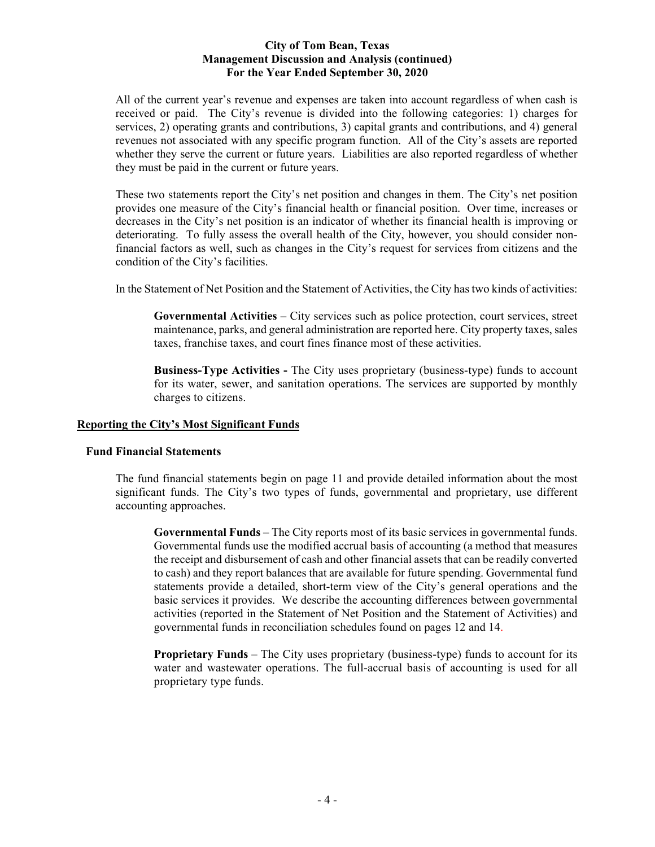All of the current year's revenue and expenses are taken into account regardless of when cash is received or paid. The City's revenue is divided into the following categories: 1) charges for services, 2) operating grants and contributions, 3) capital grants and contributions, and 4) general revenues not associated with any specific program function. All of the City's assets are reported whether they serve the current or future years. Liabilities are also reported regardless of whether they must be paid in the current or future years.

 These two statements report the City's net position and changes in them. The City's net position provides one measure of the City's financial health or financial position. Over time, increases or decreases in the City's net position is an indicator of whether its financial health is improving or deteriorating. To fully assess the overall health of the City, however, you should consider nonfinancial factors as well, such as changes in the City's request for services from citizens and the condition of the City's facilities.

In the Statement of Net Position and the Statement of Activities, the City has two kinds of activities:

**Governmental Activities** – City services such as police protection, court services, street maintenance, parks, and general administration are reported here. City property taxes, sales taxes, franchise taxes, and court fines finance most of these activities.

**Business-Type Activities -** The City uses proprietary (business-type) funds to account for its water, sewer, and sanitation operations. The services are supported by monthly charges to citizens.

## **Reporting the City's Most Significant Funds**

## **Fund Financial Statements**

 The fund financial statements begin on page 11 and provide detailed information about the most significant funds. The City's two types of funds, governmental and proprietary, use different accounting approaches.

**Governmental Funds** – The City reports most of its basic services in governmental funds. Governmental funds use the modified accrual basis of accounting (a method that measures the receipt and disbursement of cash and other financial assets that can be readily converted to cash) and they report balances that are available for future spending. Governmental fund statements provide a detailed, short-term view of the City's general operations and the basic services it provides. We describe the accounting differences between governmental activities (reported in the Statement of Net Position and the Statement of Activities) and governmental funds in reconciliation schedules found on pages 12 and 14.

**Proprietary Funds** – The City uses proprietary (business-type) funds to account for its water and wastewater operations. The full-accrual basis of accounting is used for all proprietary type funds.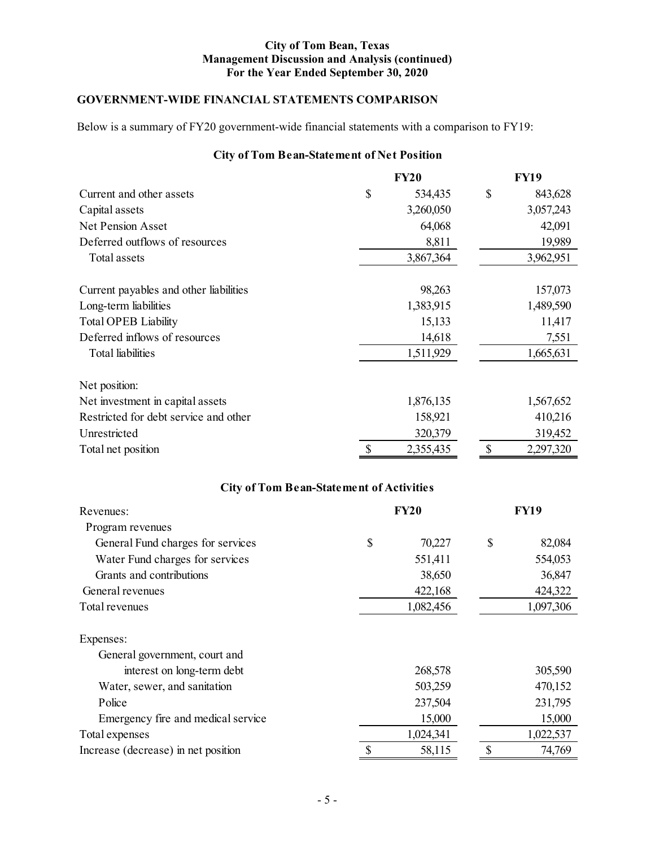## **GOVERNMENT-WIDE FINANCIAL STATEMENTS COMPARISON**

Below is a summary of FY20 government-wide financial statements with a comparison to FY19:

# **City of Tom Bean-Statement of Net Position**

|                                        | <b>FY20</b>   | <b>FY19</b>   |
|----------------------------------------|---------------|---------------|
| Current and other assets               | \$<br>534,435 | \$<br>843,628 |
| Capital assets                         | 3,260,050     | 3,057,243     |
| <b>Net Pension Asset</b>               | 64,068        | 42,091        |
| Deferred outflows of resources         | 8,811         | 19,989        |
| Total assets                           | 3,867,364     | 3,962,951     |
| Current payables and other liabilities | 98,263        | 157,073       |
| Long-term liabilities                  | 1,383,915     | 1,489,590     |
| <b>Total OPEB Liability</b>            | 15,133        | 11,417        |
| Deferred inflows of resources          | 14,618        | 7,551         |
| <b>Total</b> liabilities               | 1,511,929     | 1,665,631     |
| Net position:                          |               |               |
| Net investment in capital assets       | 1,876,135     | 1,567,652     |
| Restricted for debt service and other  | 158,921       | 410,216       |
| Unrestricted                           | 320,379       | 319,452       |
| Total net position                     | 2,355,435     | 2,297,320     |

# **City of Tom Bean-Statement of Activities**

| Revenues:                           |    | <b>FY19</b> |    |           |
|-------------------------------------|----|-------------|----|-----------|
| Program revenues                    |    |             |    |           |
| General Fund charges for services   | \$ | 70,227      | \$ | 82,084    |
| Water Fund charges for services     |    | 551,411     |    | 554,053   |
| Grants and contributions            |    | 38,650      |    | 36,847    |
| General revenues                    |    | 422,168     |    | 424,322   |
| Total revenues                      |    | 1,082,456   |    | 1,097,306 |
| Expenses:                           |    |             |    |           |
| General government, court and       |    |             |    |           |
| interest on long-term debt          |    | 268,578     |    | 305,590   |
| Water, sewer, and sanitation        |    | 503,259     |    | 470,152   |
| Police                              |    | 237,504     |    | 231,795   |
| Emergency fire and medical service  |    | 15,000      |    | 15,000    |
| Total expenses                      |    | 1,024,341   |    | 1,022,537 |
| Increase (decrease) in net position |    | 58,115      | \$ | 74,769    |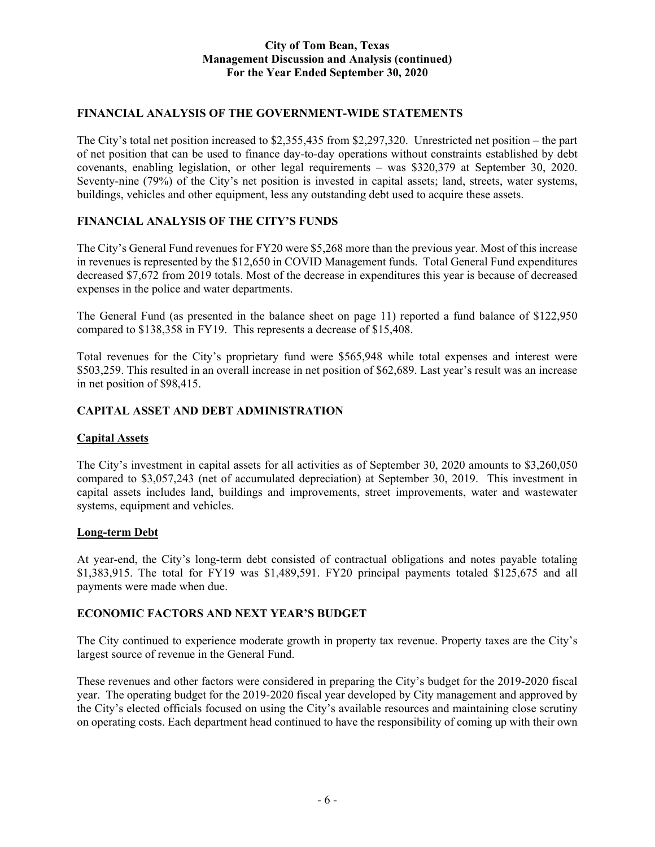## **FINANCIAL ANALYSIS OF THE GOVERNMENT-WIDE STATEMENTS**

The City's total net position increased to \$2,355,435 from \$2,297,320. Unrestricted net position – the part of net position that can be used to finance day-to-day operations without constraints established by debt covenants, enabling legislation, or other legal requirements – was \$320,379 at September 30, 2020. Seventy-nine (79%) of the City's net position is invested in capital assets; land, streets, water systems, buildings, vehicles and other equipment, less any outstanding debt used to acquire these assets.

## **FINANCIAL ANALYSIS OF THE CITY'S FUNDS**

The City's General Fund revenues for FY20 were \$5,268 more than the previous year. Most of this increase in revenues is represented by the \$12,650 in COVID Management funds. Total General Fund expenditures decreased \$7,672 from 2019 totals. Most of the decrease in expenditures this year is because of decreased expenses in the police and water departments.

The General Fund (as presented in the balance sheet on page 11) reported a fund balance of \$122,950 compared to \$138,358 in FY19. This represents a decrease of \$15,408.

Total revenues for the City's proprietary fund were \$565,948 while total expenses and interest were \$503,259. This resulted in an overall increase in net position of \$62,689. Last year's result was an increase in net position of \$98,415.

## **CAPITAL ASSET AND DEBT ADMINISTRATION**

## **Capital Assets**

The City's investment in capital assets for all activities as of September 30, 2020 amounts to \$3,260,050 compared to \$3,057,243 (net of accumulated depreciation) at September 30, 2019. This investment in capital assets includes land, buildings and improvements, street improvements, water and wastewater systems, equipment and vehicles.

#### **Long-term Debt**

At year-end, the City's long-term debt consisted of contractual obligations and notes payable totaling \$1,383,915. The total for FY19 was \$1,489,591. FY20 principal payments totaled \$125,675 and all payments were made when due.

## **ECONOMIC FACTORS AND NEXT YEAR'S BUDGET**

The City continued to experience moderate growth in property tax revenue. Property taxes are the City's largest source of revenue in the General Fund.

These revenues and other factors were considered in preparing the City's budget for the 2019-2020 fiscal year. The operating budget for the 2019-2020 fiscal year developed by City management and approved by the City's elected officials focused on using the City's available resources and maintaining close scrutiny on operating costs. Each department head continued to have the responsibility of coming up with their own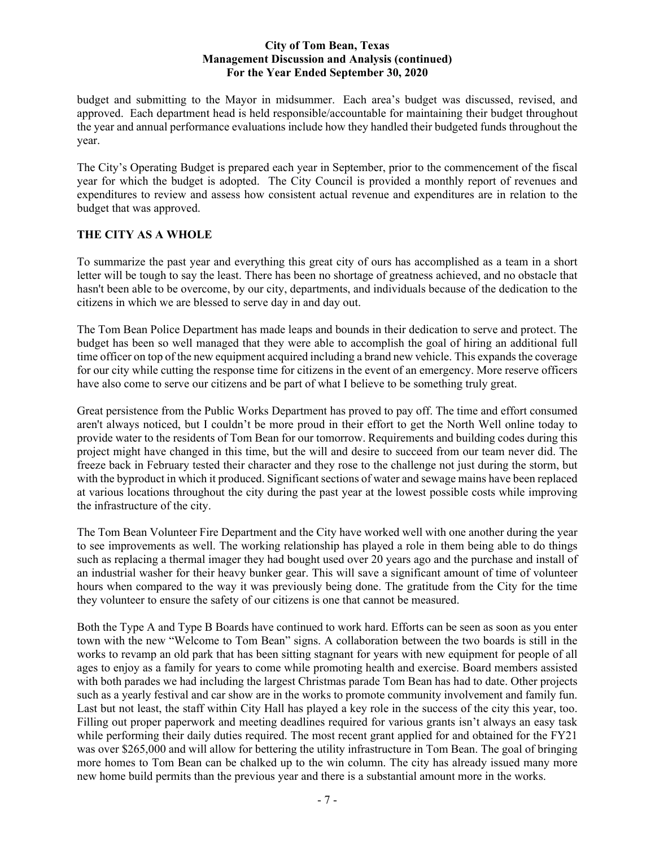budget and submitting to the Mayor in midsummer. Each area's budget was discussed, revised, and approved. Each department head is held responsible/accountable for maintaining their budget throughout the year and annual performance evaluations include how they handled their budgeted funds throughout the year.

The City's Operating Budget is prepared each year in September, prior to the commencement of the fiscal year for which the budget is adopted. The City Council is provided a monthly report of revenues and expenditures to review and assess how consistent actual revenue and expenditures are in relation to the budget that was approved.

## **THE CITY AS A WHOLE**

To summarize the past year and everything this great city of ours has accomplished as a team in a short letter will be tough to say the least. There has been no shortage of greatness achieved, and no obstacle that hasn't been able to be overcome, by our city, departments, and individuals because of the dedication to the citizens in which we are blessed to serve day in and day out.

The Tom Bean Police Department has made leaps and bounds in their dedication to serve and protect. The budget has been so well managed that they were able to accomplish the goal of hiring an additional full time officer on top of the new equipment acquired including a brand new vehicle. This expands the coverage for our city while cutting the response time for citizens in the event of an emergency. More reserve officers have also come to serve our citizens and be part of what I believe to be something truly great.

Great persistence from the Public Works Department has proved to pay off. The time and effort consumed aren't always noticed, but I couldn't be more proud in their effort to get the North Well online today to provide water to the residents of Tom Bean for our tomorrow. Requirements and building codes during this project might have changed in this time, but the will and desire to succeed from our team never did. The freeze back in February tested their character and they rose to the challenge not just during the storm, but with the byproduct in which it produced. Significant sections of water and sewage mains have been replaced at various locations throughout the city during the past year at the lowest possible costs while improving the infrastructure of the city.

The Tom Bean Volunteer Fire Department and the City have worked well with one another during the year to see improvements as well. The working relationship has played a role in them being able to do things such as replacing a thermal imager they had bought used over 20 years ago and the purchase and install of an industrial washer for their heavy bunker gear. This will save a significant amount of time of volunteer hours when compared to the way it was previously being done. The gratitude from the City for the time they volunteer to ensure the safety of our citizens is one that cannot be measured.

Both the Type A and Type B Boards have continued to work hard. Efforts can be seen as soon as you enter town with the new "Welcome to Tom Bean" signs. A collaboration between the two boards is still in the works to revamp an old park that has been sitting stagnant for years with new equipment for people of all ages to enjoy as a family for years to come while promoting health and exercise. Board members assisted with both parades we had including the largest Christmas parade Tom Bean has had to date. Other projects such as a yearly festival and car show are in the works to promote community involvement and family fun. Last but not least, the staff within City Hall has played a key role in the success of the city this year, too. Filling out proper paperwork and meeting deadlines required for various grants isn't always an easy task while performing their daily duties required. The most recent grant applied for and obtained for the FY21 was over \$265,000 and will allow for bettering the utility infrastructure in Tom Bean. The goal of bringing more homes to Tom Bean can be chalked up to the win column. The city has already issued many more new home build permits than the previous year and there is a substantial amount more in the works.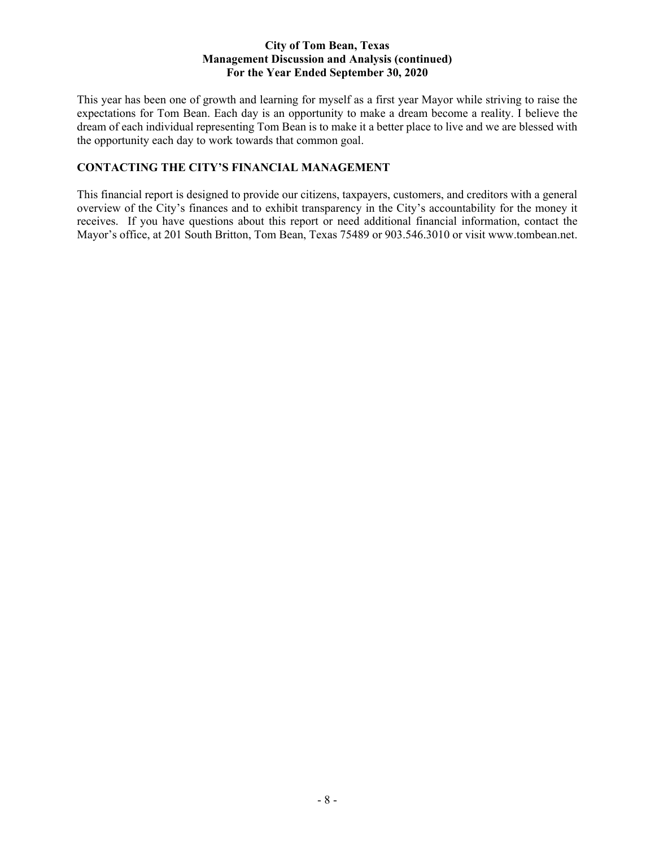This year has been one of growth and learning for myself as a first year Mayor while striving to raise the expectations for Tom Bean. Each day is an opportunity to make a dream become a reality. I believe the dream of each individual representing Tom Bean is to make it a better place to live and we are blessed with the opportunity each day to work towards that common goal.

## **CONTACTING THE CITY'S FINANCIAL MANAGEMENT**

This financial report is designed to provide our citizens, taxpayers, customers, and creditors with a general overview of the City's finances and to exhibit transparency in the City's accountability for the money it receives. If you have questions about this report or need additional financial information, contact the Mayor's office, at 201 South Britton, Tom Bean, Texas 75489 or 903.546.3010 or visit www.tombean.net.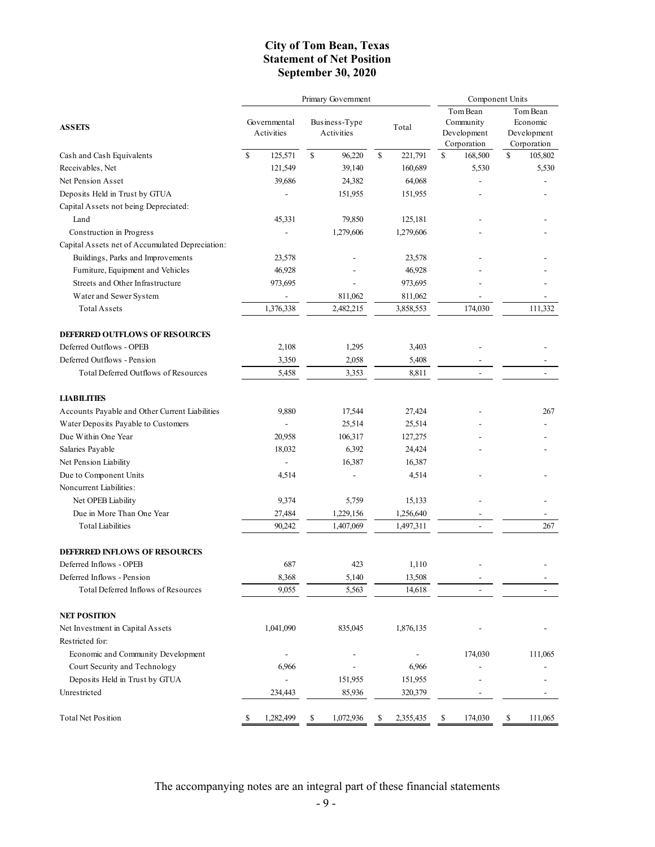## **City of Tom Bean, Texas Statement of Net Position September 30, 2020**

|                                                 |    |                            | Primary Government | Component Units             |             |           |    |                                                     |                                                    |         |
|-------------------------------------------------|----|----------------------------|--------------------|-----------------------------|-------------|-----------|----|-----------------------------------------------------|----------------------------------------------------|---------|
| <b>ASSETS</b>                                   |    | Governmental<br>Activities |                    | Business-Type<br>Activities | Total       |           |    | Tom Bean<br>Community<br>Development<br>Corporation | Tom Bean<br>Economic<br>Development<br>Corporation |         |
| Cash and Cash Equivalents                       | \$ | 125,571                    | \$                 | 96,220                      | $\mathbf S$ | 221,791   | \$ | 168,500                                             | \$                                                 | 105,802 |
| Receivables, Net                                |    | 121,549                    |                    | 39,140                      |             | 160,689   |    | 5,530                                               |                                                    | 5,530   |
| Net Pension Asset                               |    | 39,686                     |                    | 24,382                      |             | 64,068    |    |                                                     |                                                    |         |
| Deposits Held in Trust by GTUA                  |    |                            |                    | 151,955                     |             | 151,955   |    |                                                     |                                                    |         |
| Capital Assets not being Depreciated:           |    |                            |                    |                             |             |           |    |                                                     |                                                    |         |
| Land                                            |    | 45,331                     |                    | 79,850                      |             | 125,181   |    |                                                     |                                                    |         |
| Construction in Progress                        |    |                            |                    | 1,279,606                   |             | 1,279,606 |    |                                                     |                                                    |         |
| Capital Assets net of Accumulated Depreciation: |    |                            |                    |                             |             |           |    |                                                     |                                                    |         |
| Buildings, Parks and Improvements               |    | 23,578                     |                    |                             |             | 23,578    |    |                                                     |                                                    |         |
| Furniture, Equipment and Vehicles               |    | 46,928                     |                    |                             |             | 46,928    |    |                                                     |                                                    |         |
| Streets and Other Infrastructure                |    | 973,695                    |                    |                             |             | 973,695   |    |                                                     |                                                    |         |
| Water and Sewer System                          |    |                            |                    | 811,062                     |             | 811,062   |    |                                                     |                                                    |         |
| <b>Total Assets</b>                             |    | 1,376,338                  |                    | 2,482,215                   |             | 3,858,553 |    | 174,030                                             |                                                    | 111,332 |
| <b>DEFERRED OUTFLOWS OF RESOURCES</b>           |    |                            |                    |                             |             |           |    |                                                     |                                                    |         |
| Deferred Outflows - OPEB                        |    | 2,108                      |                    | 1,295                       |             | 3,403     |    |                                                     |                                                    |         |
| Deferred Outflows - Pension                     |    | 3,350                      |                    | 2,058                       |             | 5,408     |    |                                                     |                                                    |         |
| Total Deferred Outflows of Resources            |    | 5,458                      |                    | 3,353                       |             | 8,811     |    |                                                     |                                                    |         |
| <b>LIABILITIES</b>                              |    |                            |                    |                             |             |           |    |                                                     |                                                    |         |
| Accounts Payable and Other Current Liabilities  |    | 9,880                      |                    | 17,544                      |             | 27,424    |    |                                                     |                                                    | 267     |
| Water Deposits Payable to Customers             |    |                            |                    | 25,514                      |             | 25,514    |    |                                                     |                                                    |         |
| Due Within One Year                             |    | 20,958                     |                    | 106,317                     |             | 127,275   |    |                                                     |                                                    |         |
| Salaries Payable                                |    | 18,032                     |                    | 6,392                       |             | 24,424    |    |                                                     |                                                    |         |
| Net Pension Liability                           |    |                            |                    | 16,387                      |             | 16,387    |    |                                                     |                                                    |         |
| Due to Component Units                          |    | 4,514                      |                    |                             |             | 4,514     |    |                                                     |                                                    |         |
| Noncurrent Liabilities:                         |    |                            |                    |                             |             |           |    |                                                     |                                                    |         |
| Net OPEB Liability                              |    | 9,374                      |                    | 5,759                       |             | 15,133    |    |                                                     |                                                    |         |
| Due in More Than One Year                       |    | 27,484                     |                    | 1,229,156                   |             | 1,256,640 |    |                                                     |                                                    |         |
| Total Liabilities                               |    | 90,242                     |                    | 1,407,069                   |             | 1,497,311 |    |                                                     |                                                    | 267     |
| <b>DEFERRED INFLOWS OF RESOURCES</b>            |    |                            |                    |                             |             |           |    |                                                     |                                                    |         |
| Deferred Inflows - OPEB                         |    | 687                        |                    | 423                         |             | 1,110     |    |                                                     |                                                    |         |
| Deferred Inflows - Pension                      |    | 8,368                      |                    | 5,140                       |             | 13,508    |    |                                                     |                                                    |         |
| Total Deferred Inflows of Resources             |    | 9,055                      |                    | 5,563                       |             | 14,618    |    |                                                     |                                                    |         |
| <b>NET POSITION</b>                             |    |                            |                    |                             |             |           |    |                                                     |                                                    |         |
| Net Investment in Capital Assets                |    | 1,041,090                  |                    | 835,045                     |             | 1,876,135 |    |                                                     |                                                    |         |
| Restricted for:                                 |    |                            |                    |                             |             |           |    |                                                     |                                                    |         |
| Economic and Community Development              |    |                            |                    |                             |             |           |    | 174,030                                             |                                                    | 111,065 |
| Court Security and Technology                   |    | 6,966                      |                    |                             |             | 6,966     |    |                                                     |                                                    |         |
| Deposits Held in Trust by GTUA                  |    |                            |                    | 151,955                     |             | 151,955   |    |                                                     |                                                    |         |
| Unrestricted                                    |    | 234,443                    |                    | 85,936                      |             | 320,379   |    |                                                     |                                                    |         |
| Total Net Position                              | \$ | 1,282,499                  | \$                 | 1,072,936                   | \$          | 2,355,435 | \$ | 174,030                                             | \$                                                 | 111,065 |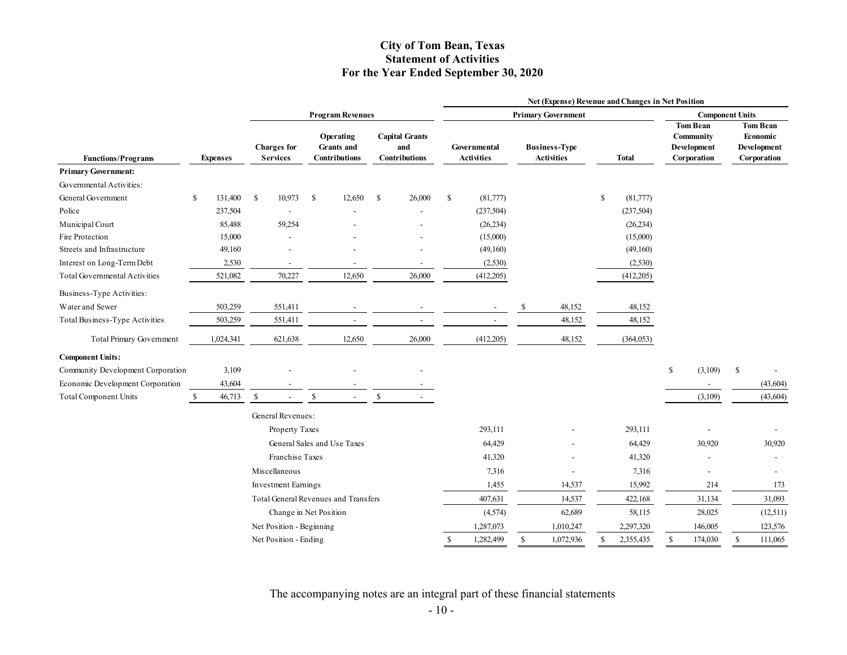## **City of Tom Bean, Texas Statement of Activities For the Year Ended September 30, 2020**

|                                   |              |                 |               |                                       |               |                                                        |              |                                                      | <b>Net (Expense) Revenue and Changes in Net Position</b> |                                          |               |                                           |               |              |    |                                                            |              |                                                           |  |  |
|-----------------------------------|--------------|-----------------|---------------|---------------------------------------|---------------|--------------------------------------------------------|--------------|------------------------------------------------------|----------------------------------------------------------|------------------------------------------|---------------|-------------------------------------------|---------------|--------------|----|------------------------------------------------------------|--------------|-----------------------------------------------------------|--|--|
|                                   |              |                 |               |                                       |               | <b>Program Revenues</b>                                |              |                                                      |                                                          | <b>Primary Government</b>                |               |                                           |               |              |    | <b>Component Units</b>                                     |              |                                                           |  |  |
| <b>Functions/Programs</b>         |              | <b>Expenses</b> |               | <b>Charges</b> for<br><b>Services</b> |               | Operating<br><b>Grants</b> and<br><b>Contributions</b> |              | <b>Capital Grants</b><br>and<br><b>Contributions</b> |                                                          | <b>Governmental</b><br><b>Activities</b> |               | <b>Business-Type</b><br><b>Activities</b> |               | <b>Total</b> |    | <b>Tom Bean</b><br>Community<br>Development<br>Corporation |              | <b>Tom Bean</b><br>Economic<br>Development<br>Corporation |  |  |
| <b>Primary Government:</b>        |              |                 |               |                                       |               |                                                        |              |                                                      |                                                          |                                          |               |                                           |               |              |    |                                                            |              |                                                           |  |  |
| Governmental Activities:          |              |                 |               |                                       |               |                                                        |              |                                                      |                                                          |                                          |               |                                           |               |              |    |                                                            |              |                                                           |  |  |
| General Government                | \$           | 131,400         | <sup>\$</sup> | 10,973                                | <sup>\$</sup> | 12,650                                                 | -S           | 26,000                                               | <sup>\$</sup>                                            | (81,777)                                 |               |                                           | <sup>\$</sup> | (81,777)     |    |                                                            |              |                                                           |  |  |
| Police                            |              | 237,504         |               |                                       |               |                                                        |              |                                                      |                                                          | (237, 504)                               |               |                                           |               | (237, 504)   |    |                                                            |              |                                                           |  |  |
| Municipal Court                   |              | 85,488          |               | 59,254                                |               |                                                        |              |                                                      |                                                          | (26, 234)                                |               |                                           |               | (26, 234)    |    |                                                            |              |                                                           |  |  |
| Fire Protection                   |              | 15,000          |               |                                       |               |                                                        |              |                                                      |                                                          | (15,000)                                 |               |                                           |               | (15,000)     |    |                                                            |              |                                                           |  |  |
| Streets and Infrastructure        |              | 49,160          |               |                                       |               |                                                        |              |                                                      |                                                          | (49,160)                                 |               |                                           |               | (49,160)     |    |                                                            |              |                                                           |  |  |
| Interest on Long-Term Debt        |              | 2,530           |               | $\overline{\phantom{a}}$              |               |                                                        |              | $\overline{\phantom{a}}$                             |                                                          | (2,530)                                  |               |                                           |               | (2,530)      |    |                                                            |              |                                                           |  |  |
| Total Governmental Activities     |              | 521,082         |               | 70,227                                |               | 12,650                                                 |              | 26,000                                               |                                                          | (412,205)                                |               |                                           |               | (412,205)    |    |                                                            |              |                                                           |  |  |
| Business-Type Activities:         |              |                 |               |                                       |               |                                                        |              |                                                      |                                                          |                                          |               |                                           |               |              |    |                                                            |              |                                                           |  |  |
| Water and Sewer                   |              | 503,259         |               | 551,411                               |               |                                                        |              |                                                      |                                                          |                                          | <sup>\$</sup> | 48,152                                    |               | 48,152       |    |                                                            |              |                                                           |  |  |
| Total Business-Type Activities    |              | 503,259         |               | 551,411                               |               |                                                        |              |                                                      |                                                          |                                          |               | 48,152                                    |               | 48,152       |    |                                                            |              |                                                           |  |  |
| Total Primary Government          |              | 1,024,341       |               | 621,638                               |               | 12,650                                                 |              | 26,000                                               |                                                          | (412,205)                                |               | 48,152                                    |               | (364, 053)   |    |                                                            |              |                                                           |  |  |
| <b>Component Units:</b>           |              |                 |               |                                       |               |                                                        |              |                                                      |                                                          |                                          |               |                                           |               |              |    |                                                            |              |                                                           |  |  |
| Community Development Corporation |              | 3,109           |               |                                       |               |                                                        |              |                                                      |                                                          |                                          |               |                                           |               |              | \$ | (3,109)                                                    | \$           |                                                           |  |  |
| Economic Development Corporation  |              | 43,604          |               |                                       |               |                                                        |              |                                                      |                                                          |                                          |               |                                           |               |              |    |                                                            |              | (43, 604)                                                 |  |  |
| <b>Total Component Units</b>      | $\mathbb{S}$ | 46,713          | $\mathbb{S}$  |                                       | $\mathbb{S}$  |                                                        | $\mathbb{S}$ |                                                      |                                                          |                                          |               |                                           |               |              |    | (3,109)                                                    |              | (43, 604)                                                 |  |  |
|                                   |              |                 |               | General Revenues:                     |               |                                                        |              |                                                      |                                                          |                                          |               |                                           |               |              |    |                                                            |              |                                                           |  |  |
|                                   |              |                 |               | Property Taxes                        |               |                                                        |              |                                                      |                                                          | 293,111                                  |               |                                           |               | 293,111      |    |                                                            |              |                                                           |  |  |
|                                   |              |                 |               |                                       |               | General Sales and Use Taxes                            |              |                                                      |                                                          | 64,429                                   |               |                                           |               | 64,429       |    | 30,920                                                     |              | 30,920                                                    |  |  |
|                                   |              |                 |               | Franchise Taxes                       |               |                                                        |              |                                                      |                                                          | 41,320                                   |               |                                           |               | 41,320       |    |                                                            |              | $\overline{\phantom{a}}$                                  |  |  |
|                                   |              |                 |               | Miscellaneous                         |               |                                                        |              |                                                      |                                                          | 7,316                                    |               | $\overline{a}$                            |               | 7,316        |    | $\blacksquare$                                             |              |                                                           |  |  |
|                                   |              |                 |               | <b>Investment Earnings</b>            |               |                                                        |              |                                                      |                                                          | 1,455                                    |               | 14,537                                    |               | 15,992       |    | 214                                                        |              | 173                                                       |  |  |
|                                   |              |                 |               |                                       |               | Total General Revenues and Transfers                   |              |                                                      |                                                          | 407,631                                  |               | 14,537                                    |               | 422,168      |    | 31,134                                                     |              | 31,093                                                    |  |  |
|                                   |              |                 |               | Change in Net Position                |               |                                                        |              |                                                      |                                                          | (4,574)                                  |               | 62,689                                    |               | 58,115       |    | 28,025                                                     |              | (12,511)                                                  |  |  |
|                                   |              |                 |               | Net Position - Beginning              |               |                                                        |              |                                                      |                                                          | 1,287,073                                |               | 1,010,247                                 |               | 2,297,320    |    | 146,005                                                    |              | 123,576                                                   |  |  |
|                                   |              |                 |               | Net Position - Ending                 |               |                                                        |              |                                                      | <sup>S</sup>                                             | 1,282,499                                | $\mathbb{S}$  | 1,072,936                                 | S             | 2,355,435    | \$ | 174,030                                                    | $\mathbb{S}$ | 111,065                                                   |  |  |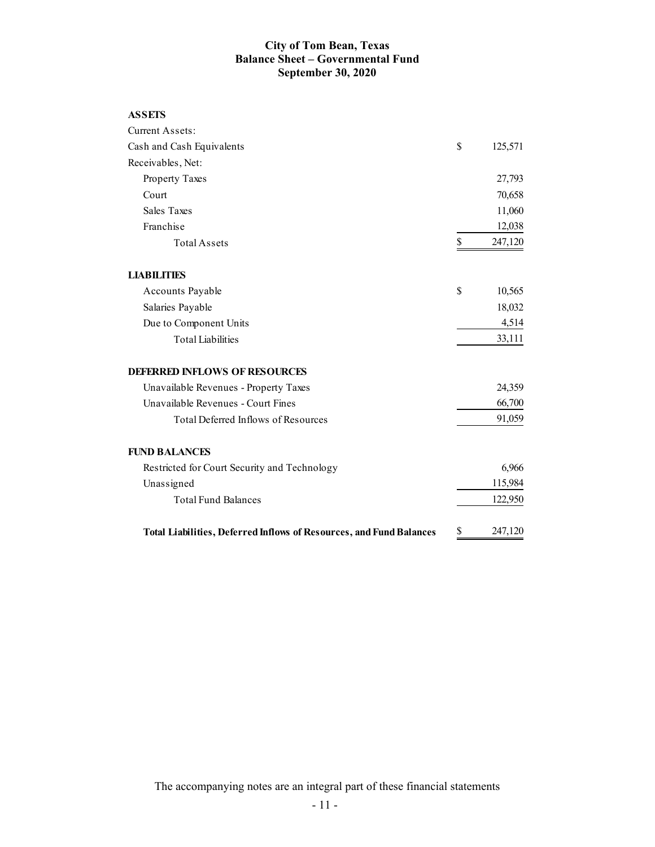## **City of Tom Bean, Texas Balance Sheet – Governmental Fund September 30, 2020**

| Current Assets:                                                            |               |
|----------------------------------------------------------------------------|---------------|
| Cash and Cash Equivalents                                                  | \$<br>125,571 |
| Receivables, Net:                                                          |               |
| Property Taxes                                                             | 27,793        |
| Court                                                                      | 70,658        |
| <b>Sales Taxes</b>                                                         | 11,060        |
| Franchise                                                                  | 12,038        |
| <b>Total Assets</b>                                                        | \$<br>247,120 |
| <b>LIABILITIES</b>                                                         |               |
| Accounts Payable                                                           | \$<br>10,565  |
| Salaries Payable                                                           | 18,032        |
| Due to Component Units                                                     | 4,514         |
| <b>Total Liabilities</b>                                                   | 33,111        |
| <b>DEFERRED INFLOWS OF RESOURCES</b>                                       |               |
| Unavailable Revenues - Property Taxes                                      | 24,359        |
| Unavailable Revenues - Court Fines                                         | 66,700        |
| Total Deferred Inflows of Resources                                        | 91,059        |
| <b>FUND BALANCES</b>                                                       |               |
| Restricted for Court Security and Technology                               | 6,966         |
| Unassigned                                                                 | 115,984       |
| <b>Total Fund Balances</b>                                                 | 122,950       |
| <b>Total Liabilities, Deferred Inflows of Resources, and Fund Balances</b> | \$<br>247,120 |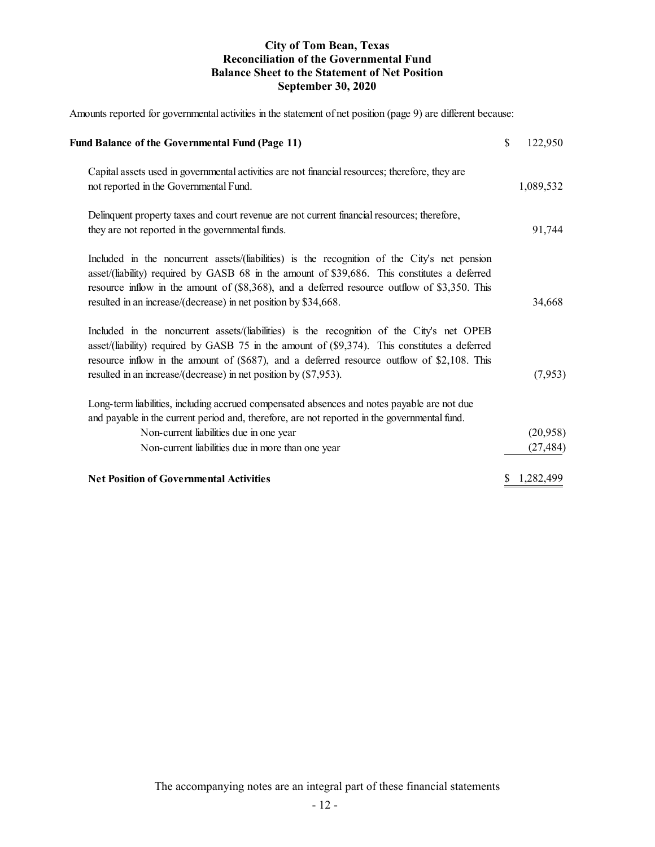## **City of Tom Bean, Texas Reconciliation of the Governmental Fund Balance Sheet to the Statement of Net Position September 30, 2020**

Amounts reported for governmental activities in the statement of net position (page 9) are different because:

| <b>Fund Balance of the Governmental Fund (Page 11)</b>                                                                                                                                                                                                                                                                                                          | $\mathbb{S}$ | 122,950               |
|-----------------------------------------------------------------------------------------------------------------------------------------------------------------------------------------------------------------------------------------------------------------------------------------------------------------------------------------------------------------|--------------|-----------------------|
| Capital assets used in governmental activities are not financial resources; therefore, they are<br>not reported in the Governmental Fund.                                                                                                                                                                                                                       |              | 1,089,532             |
| Delinquent property taxes and court revenue are not current financial resources; therefore,<br>they are not reported in the governmental funds.                                                                                                                                                                                                                 |              | 91,744                |
| Included in the noncurrent assets/(liabilities) is the recognition of the City's net pension<br>asset/(liability) required by GASB 68 in the amount of \$39,686. This constitutes a deferred<br>resource inflow in the amount of (\$8,368), and a deferred resource outflow of \$3,350. This<br>resulted in an increase/(decrease) in net position by \$34,668. |              | 34,668                |
| Included in the noncurrent assets/(liabilities) is the recognition of the City's net OPEB<br>asset/(liability) required by GASB 75 in the amount of (\$9,374). This constitutes a deferred<br>resource inflow in the amount of (\$687), and a deferred resource outflow of \$2,108. This<br>resulted in an increase/(decrease) in net position by $(\$7,953)$ . |              | (7,953)               |
| Long-term liabilities, including accrued compensated absences and notes payable are not due<br>and payable in the current period and, therefore, are not reported in the governmental fund.<br>Non-current liabilities due in one year<br>Non-current liabilities due in more than one year                                                                     |              | (20,958)<br>(27, 484) |
| <b>Net Position of Governmental Activities</b>                                                                                                                                                                                                                                                                                                                  | S            | 1,282,499             |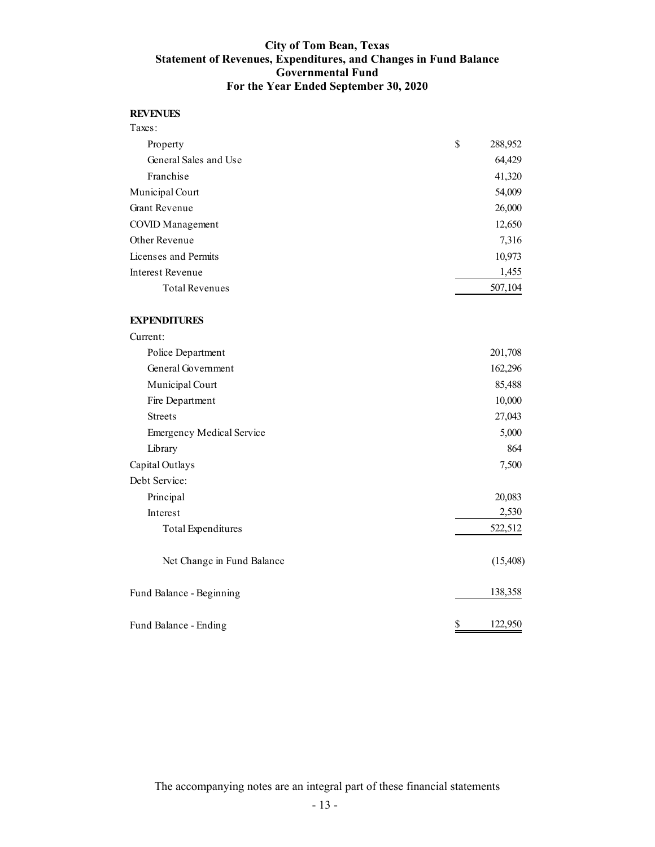## **City of Tom Bean, Texas Statement of Revenues, Expenditures, and Changes in Fund Balance Governmental Fund For the Year Ended September 30, 2020**

#### **REVENUES**

| Taxes:                  |               |
|-------------------------|---------------|
| Property                | \$<br>288,952 |
| General Sales and Use   | 64,429        |
| Franchise               | 41,320        |
| Municipal Court         | 54,009        |
| <b>Grant Revenue</b>    | 26,000        |
| <b>COVID</b> Management | 12,650        |
| Other Revenue           | 7,316         |
| Licenses and Permits    | 10,973        |
| <b>Interest Revenue</b> | 1,455         |
| <b>Total Revenues</b>   | 507,104       |
| <b>EXPENDITURES</b>     |               |
| Current:                |               |
| Police Department       | 201,708       |
| General Government      | 162,296       |
| Municipal Court         | 85,488        |
| Fire Department         | 10,000        |
| <b>Streets</b>          | 27,043        |
|                         |               |

Emergency Medical Service 5,000 Library 864 Capital Outlays 7,500 Debt Service: Principal 20,083 Interest 2,530 Total Expenditures 522,512 Net Change in Fund Balance (15,408) Fund Balance - Beginning 138,358

Fund Balance - Ending \$ 122,950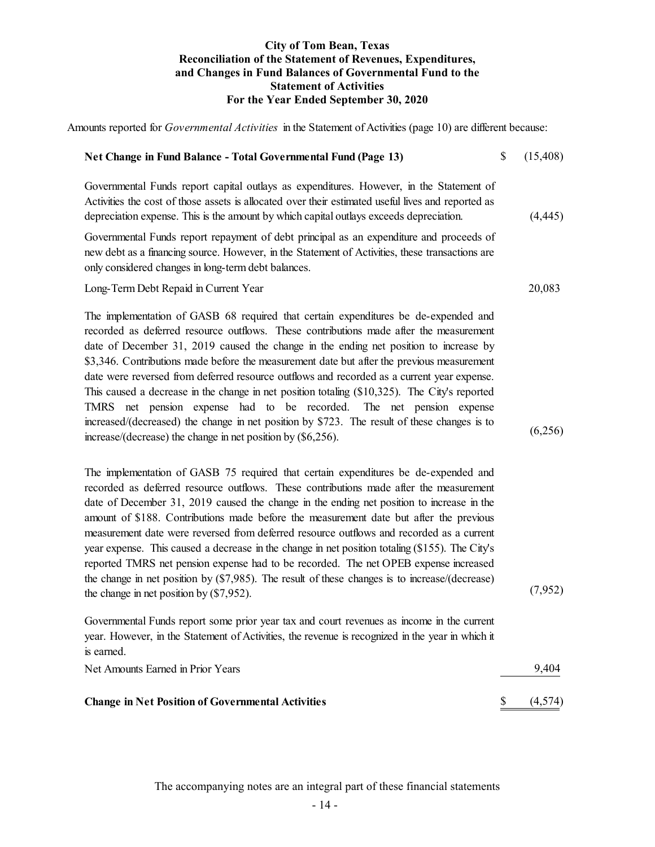## **City of Tom Bean, Texas Reconciliation of the Statement of Revenues, Expenditures, and Changes in Fund Balances of Governmental Fund to the Statement of Activities For the Year Ended September 30, 2020**

Amounts reported for *Governmental Activities* in the Statement of Activities (page 10) are different because:

| Net Change in Fund Balance - Total Governmental Fund (Page 13)                                                                                                                                                                                                                                                                                                                                                                                                                                                                                                                                                                                                                                                                                                                                                 | \$           | (15, 408) |
|----------------------------------------------------------------------------------------------------------------------------------------------------------------------------------------------------------------------------------------------------------------------------------------------------------------------------------------------------------------------------------------------------------------------------------------------------------------------------------------------------------------------------------------------------------------------------------------------------------------------------------------------------------------------------------------------------------------------------------------------------------------------------------------------------------------|--------------|-----------|
| Governmental Funds report capital outlays as expenditures. However, in the Statement of<br>Activities the cost of those assets is allocated over their estimated useful lives and reported as<br>depreciation expense. This is the amount by which capital outlays exceeds depreciation.                                                                                                                                                                                                                                                                                                                                                                                                                                                                                                                       |              | (4, 445)  |
| Governmental Funds report repayment of debt principal as an expenditure and proceeds of<br>new debt as a financing source. However, in the Statement of Activities, these transactions are<br>only considered changes in long-term debt balances.                                                                                                                                                                                                                                                                                                                                                                                                                                                                                                                                                              |              |           |
| Long-Term Debt Repaid in Current Year                                                                                                                                                                                                                                                                                                                                                                                                                                                                                                                                                                                                                                                                                                                                                                          |              | 20,083    |
| The implementation of GASB 68 required that certain expenditures be de-expended and<br>recorded as deferred resource outflows. These contributions made after the measurement<br>date of December 31, 2019 caused the change in the ending net position to increase by<br>\$3,346. Contributions made before the measurement date but after the previous measurement<br>date were reversed from deferred resource outflows and recorded as a current year expense.<br>This caused a decrease in the change in net position totaling (\$10,325). The City's reported<br>TMRS net pension expense had to be recorded.<br>The net pension expense<br>increased/(decreased) the change in net position by \$723. The result of these changes is to<br>increase/(decrease) the change in net position by (\$6,256). |              | (6,256)   |
| The implementation of GASB 75 required that certain expenditures be de-expended and<br>recorded as deferred resource outflows. These contributions made after the measurement<br>date of December 31, 2019 caused the change in the ending net position to increase in the<br>amount of \$188. Contributions made before the measurement date but after the previous<br>measurement date were reversed from deferred resource outflows and recorded as a current<br>year expense. This caused a decrease in the change in net position totaling (\$155). The City's<br>reported TMRS net pension expense had to be recorded. The net OPEB expense increased<br>the change in net position by $(\$7,985)$ . The result of these changes is to increase/(decrease)<br>the change in net position by (\$7,952).   |              | (7,952)   |
| Governmental Funds report some prior year tax and court revenues as income in the current<br>year. However, in the Statement of Activities, the revenue is recognized in the year in which it<br>is earned.                                                                                                                                                                                                                                                                                                                                                                                                                                                                                                                                                                                                    |              |           |
| Net Amounts Earned in Prior Years                                                                                                                                                                                                                                                                                                                                                                                                                                                                                                                                                                                                                                                                                                                                                                              |              | 9,404     |
| <b>Change in Net Position of Governmental Activities</b>                                                                                                                                                                                                                                                                                                                                                                                                                                                                                                                                                                                                                                                                                                                                                       | $\mathbb{S}$ | (4,574)   |
|                                                                                                                                                                                                                                                                                                                                                                                                                                                                                                                                                                                                                                                                                                                                                                                                                |              |           |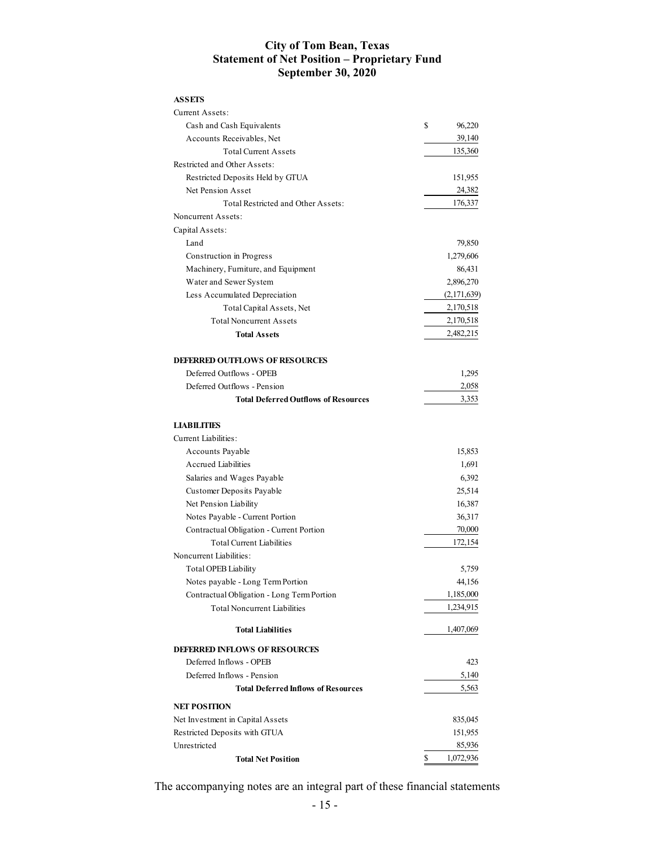## **City of Tom Bean, Texas Statement of Net Position – Proprietary Fund September 30, 2020**

| <b>ASSETS</b>                               |                 |
|---------------------------------------------|-----------------|
| Current Assets:                             |                 |
| Cash and Cash Equivalents                   | \$<br>96,220    |
| Accounts Receivables, Net                   | 39,140          |
| <b>Total Current Assets</b>                 | 135,360         |
| Restricted and Other Assets:                |                 |
| Restricted Deposits Held by GTUA            | 151,955         |
| Net Pension Asset                           | 24,382          |
| Total Restricted and Other Assets:          | 176,337         |
| Noncurrent Assets:                          |                 |
| Capital Assets:                             |                 |
| Land                                        | 79,850          |
| Construction in Progress                    | 1,279,606       |
| Machinery, Furniture, and Equipment         | 86,431          |
| Water and Sewer System                      | 2,896,270       |
| Less Accumulated Depreciation               | (2,171,639)     |
| Total Capital Assets, Net                   | 2,170,518       |
| <b>Total Noncurrent Assets</b>              | 2,170,518       |
| <b>Total Assets</b>                         | 2,482,215       |
| <b>DEFERRED OUTFLOWS OF RESOURCES</b>       |                 |
| Deferred Outflows - OPEB                    | 1,295           |
| Deferred Outflows - Pension                 | 2,058           |
| <b>Total Deferred Outflows of Resources</b> | 3,353           |
| <b>LIABILITIES</b>                          |                 |
| <b>Current Liabilities:</b>                 |                 |
| Accounts Payable                            | 15,853          |
| Accrued Liabilities                         | 1,691           |
| Salaries and Wages Payable                  | 6,392           |
| Customer Deposits Payable                   | 25,514          |
| Net Pension Liability                       | 16,387          |
| Notes Payable - Current Portion             | 36,317          |
| Contractual Obligation - Current Portion    | 70,000          |
| <b>Total Current Liabilities</b>            | 172,154         |
| Noncurrent Liabilities:                     |                 |
| <b>Total OPEB Liability</b>                 | 5,759           |
| Notes payable - Long Term Portion           | 44,156          |
| Contractual Obligation - Long Term Portion  | 1,185,000       |
| <b>Total Noncurrent Liabilities</b>         | 1,234,915       |
| <b>Total Liabilities</b>                    | 1,407,069       |
| <b>DEFERRED INFLOWS OF RESOURCES</b>        |                 |
| Deferred Inflows - OPEB                     | 423             |
| Deferred Inflows - Pension                  | 5,140           |
| <b>Total Deferred Inflows of Resources</b>  | 5,563           |
|                                             |                 |
| <b>NET POSITION</b>                         |                 |
| Net Investment in Capital Assets            | 835,045         |
| Restricted Deposits with GTUA               | 151,955         |
| Unrestricted                                | 85,936          |
| <b>Total Net Position</b>                   | \$<br>1,072,936 |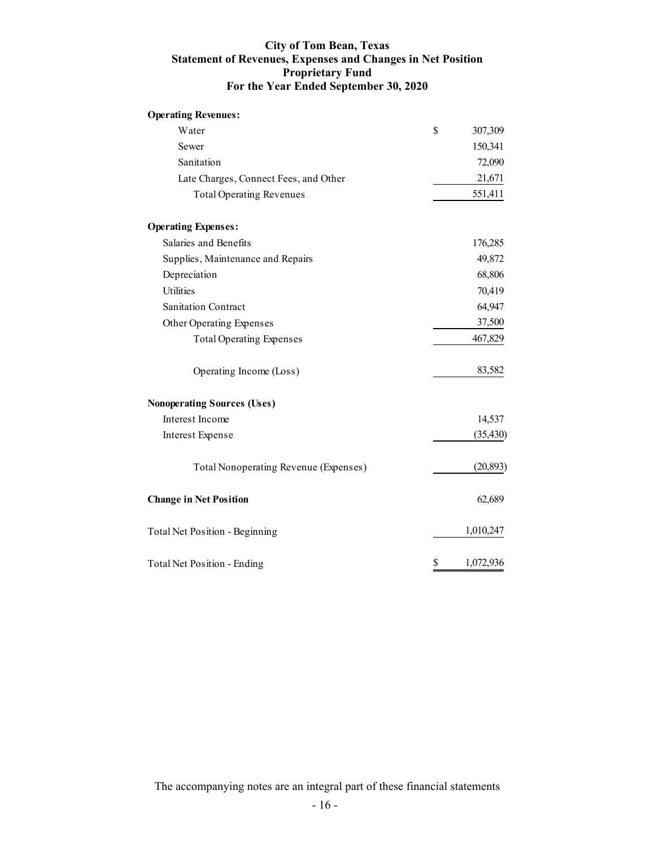## **City of Tom Bean, Texas Statement of Revenues, Expenses and Changes in Net Position Proprietary Fund For the Year Ended September 30, 2020**

| <b>Operating Revenues:</b>            |                 |
|---------------------------------------|-----------------|
| Water                                 | \$<br>307,309   |
| Sewer                                 | 150,341         |
| Sanitation                            | 72,090          |
| Late Charges, Connect Fees, and Other | 21,671          |
| <b>Total Operating Revenues</b>       | 551,411         |
| <b>Operating Expenses:</b>            |                 |
| Salaries and Benefits                 | 176,285         |
| Supplies, Maintenance and Repairs     | 49,872          |
| Depreciation                          | 68,806          |
| <b>Utilities</b>                      | 70,419          |
| <b>Sanitation Contract</b>            | 64,947          |
| Other Operating Expenses              | 37,500          |
| <b>Total Operating Expenses</b>       | 467,829         |
| Operating Income (Loss)               | 83,582          |
| <b>Nonoperating Sources (Uses)</b>    |                 |
| Interest Income                       | 14,537          |
| Interest Expense                      | (35, 430)       |
| Total Nonoperating Revenue (Expenses) | (20, 893)       |
| <b>Change in Net Position</b>         | 62,689          |
| <b>Total Net Position - Beginning</b> | 1,010,247       |
| Total Net Position - Ending           | \$<br>1,072,936 |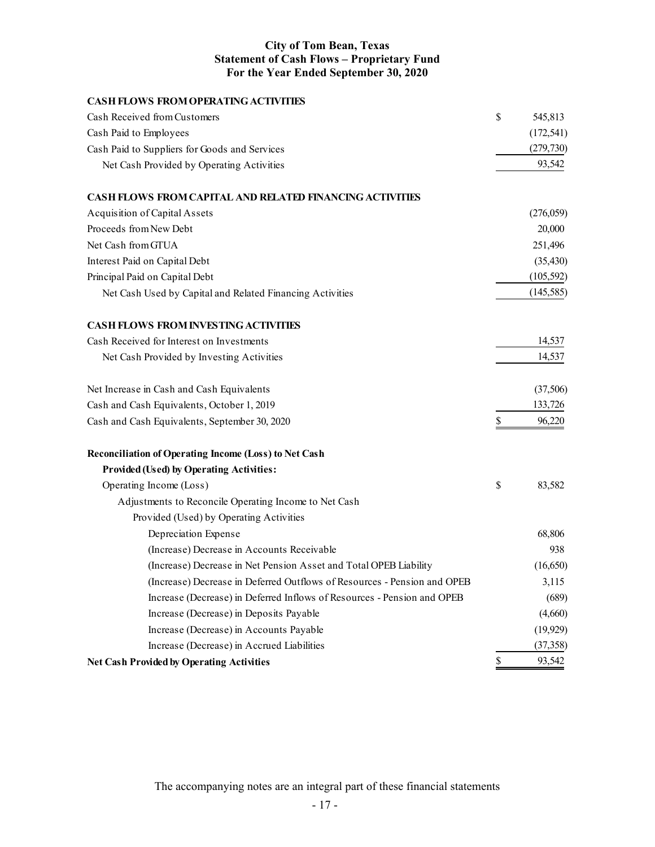## **City of Tom Bean, Texas Statement of Cash Flows – Proprietary Fund For the Year Ended September 30, 2020**

| <b>CASH FLOWS FROM OPERATING ACTIVITIES</b>                              |               |
|--------------------------------------------------------------------------|---------------|
| Cash Received from Customers                                             | \$<br>545,813 |
| Cash Paid to Employees                                                   | (172, 541)    |
| Cash Paid to Suppliers for Goods and Services                            | (279, 730)    |
| Net Cash Provided by Operating Activities                                | 93,542        |
| <b>CASH FLOWS FROM CAPITAL AND RELATED FINANCING ACTIVITIES</b>          |               |
| Acquisition of Capital Assets                                            | (276,059)     |
| Proceeds from New Debt                                                   | 20,000        |
| Net Cash from GTUA                                                       | 251,496       |
| Interest Paid on Capital Debt                                            | (35, 430)     |
| Principal Paid on Capital Debt                                           | (105, 592)    |
| Net Cash Used by Capital and Related Financing Activities                | (145, 585)    |
| <b>CASH FLOWS FROM INVESTING ACTIVITIES</b>                              |               |
| Cash Received for Interest on Investments                                | 14,537        |
| Net Cash Provided by Investing Activities                                | 14,537        |
| Net Increase in Cash and Cash Equivalents                                | (37,506)      |
| Cash and Cash Equivalents, October 1, 2019                               | 133,726       |
| Cash and Cash Equivalents, September 30, 2020                            | \$<br>96,220  |
| <b>Reconciliation of Operating Income (Loss) to Net Cash</b>             |               |
| <b>Provided (Used) by Operating Activities:</b>                          |               |
| Operating Income (Loss)                                                  | \$<br>83,582  |
| Adjustments to Reconcile Operating Income to Net Cash                    |               |
| Provided (Used) by Operating Activities                                  |               |
| Depreciation Expense                                                     | 68,806        |
| (Increase) Decrease in Accounts Receivable                               | 938           |
| (Increase) Decrease in Net Pension Asset and Total OPEB Liability        | (16, 650)     |
| (Increase) Decrease in Deferred Outflows of Resources - Pension and OPEB | 3,115         |
| Increase (Decrease) in Deferred Inflows of Resources - Pension and OPEB  | (689)         |
| Increase (Decrease) in Deposits Payable                                  | (4,660)       |
| Increase (Decrease) in Accounts Payable                                  | (19, 929)     |
| Increase (Decrease) in Accrued Liabilities                               | (37, 358)     |
| <b>Net Cash Provided by Operating Activities</b>                         | \$<br>93,542  |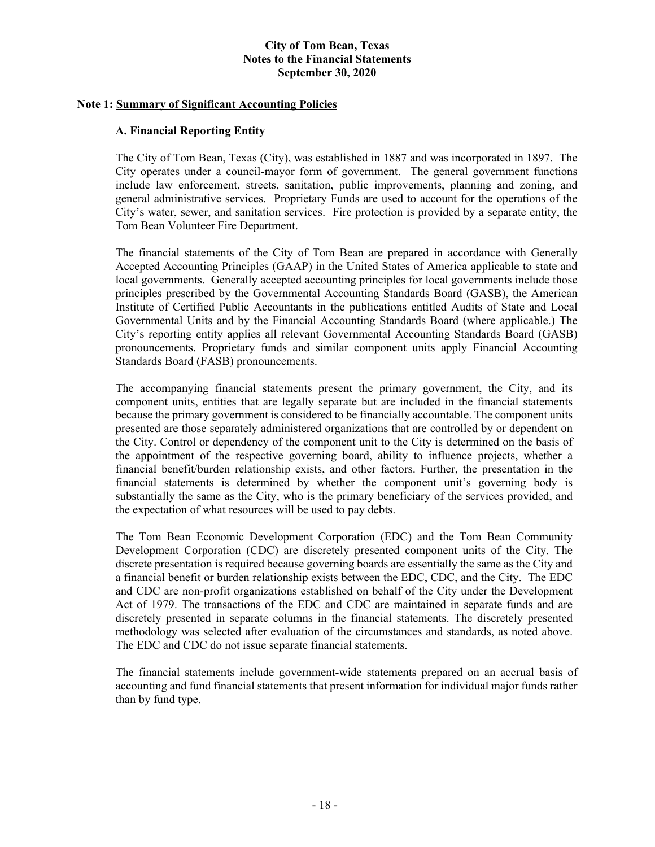## **Note 1: Summary of Significant Accounting Policies**

#### **A. Financial Reporting Entity**

The City of Tom Bean, Texas (City), was established in 1887 and was incorporated in 1897. The City operates under a council-mayor form of government. The general government functions include law enforcement, streets, sanitation, public improvements, planning and zoning, and general administrative services. Proprietary Funds are used to account for the operations of the City's water, sewer, and sanitation services. Fire protection is provided by a separate entity, the Tom Bean Volunteer Fire Department.

The financial statements of the City of Tom Bean are prepared in accordance with Generally Accepted Accounting Principles (GAAP) in the United States of America applicable to state and local governments. Generally accepted accounting principles for local governments include those principles prescribed by the Governmental Accounting Standards Board (GASB), the American Institute of Certified Public Accountants in the publications entitled Audits of State and Local Governmental Units and by the Financial Accounting Standards Board (where applicable.) The City's reporting entity applies all relevant Governmental Accounting Standards Board (GASB) pronouncements. Proprietary funds and similar component units apply Financial Accounting Standards Board (FASB) pronouncements.

The accompanying financial statements present the primary government, the City, and its component units, entities that are legally separate but are included in the financial statements because the primary government is considered to be financially accountable. The component units presented are those separately administered organizations that are controlled by or dependent on the City. Control or dependency of the component unit to the City is determined on the basis of the appointment of the respective governing board, ability to influence projects, whether a financial benefit/burden relationship exists, and other factors. Further, the presentation in the financial statements is determined by whether the component unit's governing body is substantially the same as the City, who is the primary beneficiary of the services provided, and the expectation of what resources will be used to pay debts.

The Tom Bean Economic Development Corporation (EDC) and the Tom Bean Community Development Corporation (CDC) are discretely presented component units of the City. The discrete presentation is required because governing boards are essentially the same as the City and a financial benefit or burden relationship exists between the EDC, CDC, and the City. The EDC and CDC are non-profit organizations established on behalf of the City under the Development Act of 1979. The transactions of the EDC and CDC are maintained in separate funds and are discretely presented in separate columns in the financial statements. The discretely presented methodology was selected after evaluation of the circumstances and standards, as noted above. The EDC and CDC do not issue separate financial statements.

The financial statements include government-wide statements prepared on an accrual basis of accounting and fund financial statements that present information for individual major funds rather than by fund type.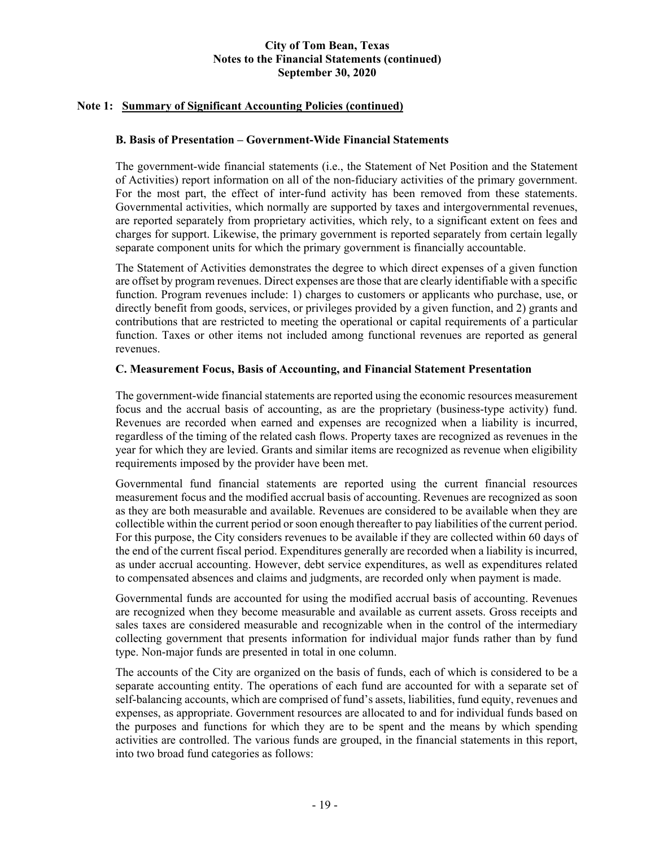## **Note 1: Summary of Significant Accounting Policies (continued)**

## **B. Basis of Presentation – Government-Wide Financial Statements**

The government-wide financial statements (i.e., the Statement of Net Position and the Statement of Activities) report information on all of the non-fiduciary activities of the primary government. For the most part, the effect of inter-fund activity has been removed from these statements. Governmental activities, which normally are supported by taxes and intergovernmental revenues, are reported separately from proprietary activities, which rely, to a significant extent on fees and charges for support. Likewise, the primary government is reported separately from certain legally separate component units for which the primary government is financially accountable.

The Statement of Activities demonstrates the degree to which direct expenses of a given function are offset by program revenues. Direct expenses are those that are clearly identifiable with a specific function. Program revenues include: 1) charges to customers or applicants who purchase, use, or directly benefit from goods, services, or privileges provided by a given function, and 2) grants and contributions that are restricted to meeting the operational or capital requirements of a particular function. Taxes or other items not included among functional revenues are reported as general revenues.

#### **C. Measurement Focus, Basis of Accounting, and Financial Statement Presentation**

The government-wide financial statements are reported using the economic resources measurement focus and the accrual basis of accounting, as are the proprietary (business-type activity) fund. Revenues are recorded when earned and expenses are recognized when a liability is incurred, regardless of the timing of the related cash flows. Property taxes are recognized as revenues in the year for which they are levied. Grants and similar items are recognized as revenue when eligibility requirements imposed by the provider have been met.

Governmental fund financial statements are reported using the current financial resources measurement focus and the modified accrual basis of accounting. Revenues are recognized as soon as they are both measurable and available. Revenues are considered to be available when they are collectible within the current period or soon enough thereafter to pay liabilities of the current period. For this purpose, the City considers revenues to be available if they are collected within 60 days of the end of the current fiscal period. Expenditures generally are recorded when a liability is incurred, as under accrual accounting. However, debt service expenditures, as well as expenditures related to compensated absences and claims and judgments, are recorded only when payment is made.

Governmental funds are accounted for using the modified accrual basis of accounting. Revenues are recognized when they become measurable and available as current assets. Gross receipts and sales taxes are considered measurable and recognizable when in the control of the intermediary collecting government that presents information for individual major funds rather than by fund type. Non-major funds are presented in total in one column.

The accounts of the City are organized on the basis of funds, each of which is considered to be a separate accounting entity. The operations of each fund are accounted for with a separate set of self-balancing accounts, which are comprised of fund's assets, liabilities, fund equity, revenues and expenses, as appropriate. Government resources are allocated to and for individual funds based on the purposes and functions for which they are to be spent and the means by which spending activities are controlled. The various funds are grouped, in the financial statements in this report, into two broad fund categories as follows: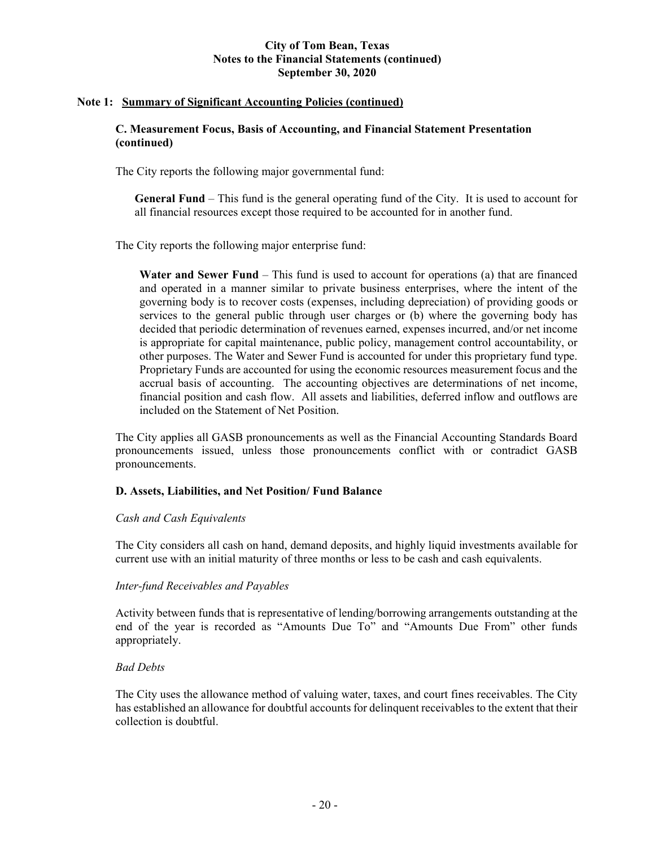#### **Note 1: Summary of Significant Accounting Policies (continued)**

#### **C. Measurement Focus, Basis of Accounting, and Financial Statement Presentation (continued)**

The City reports the following major governmental fund:

**General Fund** – This fund is the general operating fund of the City. It is used to account for all financial resources except those required to be accounted for in another fund.

The City reports the following major enterprise fund:

**Water and Sewer Fund** – This fund is used to account for operations (a) that are financed and operated in a manner similar to private business enterprises, where the intent of the governing body is to recover costs (expenses, including depreciation) of providing goods or services to the general public through user charges or (b) where the governing body has decided that periodic determination of revenues earned, expenses incurred, and/or net income is appropriate for capital maintenance, public policy, management control accountability, or other purposes. The Water and Sewer Fund is accounted for under this proprietary fund type. Proprietary Funds are accounted for using the economic resources measurement focus and the accrual basis of accounting. The accounting objectives are determinations of net income, financial position and cash flow. All assets and liabilities, deferred inflow and outflows are included on the Statement of Net Position.

The City applies all GASB pronouncements as well as the Financial Accounting Standards Board pronouncements issued, unless those pronouncements conflict with or contradict GASB pronouncements.

## **D. Assets, Liabilities, and Net Position/ Fund Balance**

#### *Cash and Cash Equivalents*

The City considers all cash on hand, demand deposits, and highly liquid investments available for current use with an initial maturity of three months or less to be cash and cash equivalents.

#### *Inter-fund Receivables and Payables*

Activity between funds that is representative of lending/borrowing arrangements outstanding at the end of the year is recorded as "Amounts Due To" and "Amounts Due From" other funds appropriately.

#### *Bad Debts*

The City uses the allowance method of valuing water, taxes, and court fines receivables. The City has established an allowance for doubtful accounts for delinquent receivables to the extent that their collection is doubtful.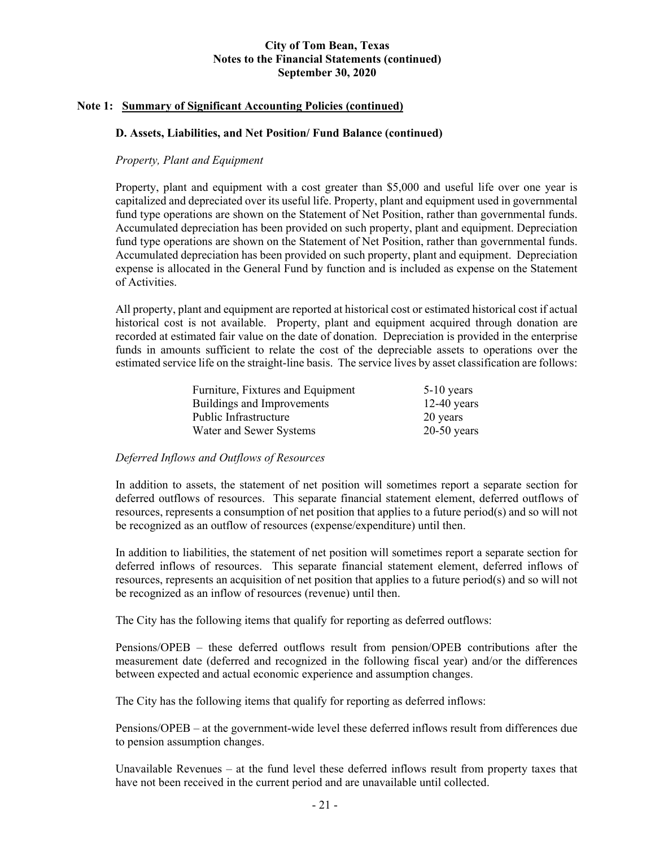#### **Note 1: Summary of Significant Accounting Policies (continued)**

#### **D. Assets, Liabilities, and Net Position/ Fund Balance (continued)**

#### *Property, Plant and Equipment*

Property, plant and equipment with a cost greater than \$5,000 and useful life over one year is capitalized and depreciated over its useful life. Property, plant and equipment used in governmental fund type operations are shown on the Statement of Net Position, rather than governmental funds. Accumulated depreciation has been provided on such property, plant and equipment. Depreciation fund type operations are shown on the Statement of Net Position, rather than governmental funds. Accumulated depreciation has been provided on such property, plant and equipment. Depreciation expense is allocated in the General Fund by function and is included as expense on the Statement of Activities.

All property, plant and equipment are reported at historical cost or estimated historical cost if actual historical cost is not available. Property, plant and equipment acquired through donation are recorded at estimated fair value on the date of donation. Depreciation is provided in the enterprise funds in amounts sufficient to relate the cost of the depreciable assets to operations over the estimated service life on the straight-line basis. The service lives by asset classification are follows:

| Furniture, Fixtures and Equipment | $5-10$ years  |
|-----------------------------------|---------------|
| Buildings and Improvements        | $12-40$ years |
| Public Infrastructure             | 20 years      |
| Water and Sewer Systems           | $20-50$ years |

## *Deferred Inflows and Outflows of Resources*

In addition to assets, the statement of net position will sometimes report a separate section for deferred outflows of resources. This separate financial statement element, deferred outflows of resources, represents a consumption of net position that applies to a future period(s) and so will not be recognized as an outflow of resources (expense/expenditure) until then.

In addition to liabilities, the statement of net position will sometimes report a separate section for deferred inflows of resources. This separate financial statement element, deferred inflows of resources, represents an acquisition of net position that applies to a future period(s) and so will not be recognized as an inflow of resources (revenue) until then.

The City has the following items that qualify for reporting as deferred outflows:

Pensions/OPEB – these deferred outflows result from pension/OPEB contributions after the measurement date (deferred and recognized in the following fiscal year) and/or the differences between expected and actual economic experience and assumption changes.

The City has the following items that qualify for reporting as deferred inflows:

Pensions/OPEB – at the government-wide level these deferred inflows result from differences due to pension assumption changes.

Unavailable Revenues – at the fund level these deferred inflows result from property taxes that have not been received in the current period and are unavailable until collected.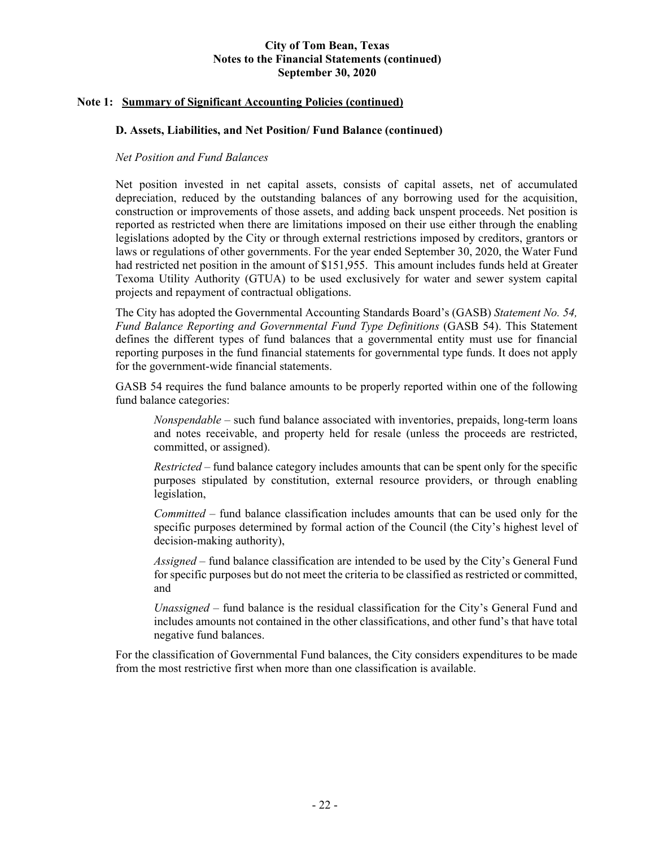## **Note 1: Summary of Significant Accounting Policies (continued)**

## **D. Assets, Liabilities, and Net Position/ Fund Balance (continued)**

## *Net Position and Fund Balances*

Net position invested in net capital assets, consists of capital assets, net of accumulated depreciation, reduced by the outstanding balances of any borrowing used for the acquisition, construction or improvements of those assets, and adding back unspent proceeds. Net position is reported as restricted when there are limitations imposed on their use either through the enabling legislations adopted by the City or through external restrictions imposed by creditors, grantors or laws or regulations of other governments. For the year ended September 30, 2020, the Water Fund had restricted net position in the amount of \$151,955. This amount includes funds held at Greater Texoma Utility Authority (GTUA) to be used exclusively for water and sewer system capital projects and repayment of contractual obligations.

The City has adopted the Governmental Accounting Standards Board's (GASB) *Statement No. 54, Fund Balance Reporting and Governmental Fund Type Definitions* (GASB 54). This Statement defines the different types of fund balances that a governmental entity must use for financial reporting purposes in the fund financial statements for governmental type funds. It does not apply for the government-wide financial statements.

GASB 54 requires the fund balance amounts to be properly reported within one of the following fund balance categories:

*Nonspendable* – such fund balance associated with inventories, prepaids, long-term loans and notes receivable, and property held for resale (unless the proceeds are restricted, committed, or assigned).

*Restricted –* fund balance category includes amounts that can be spent only for the specific purposes stipulated by constitution, external resource providers, or through enabling legislation,

*Committed* – fund balance classification includes amounts that can be used only for the specific purposes determined by formal action of the Council (the City's highest level of decision-making authority),

*Assigned* – fund balance classification are intended to be used by the City's General Fund for specific purposes but do not meet the criteria to be classified as restricted or committed, and

*Unassigned* – fund balance is the residual classification for the City's General Fund and includes amounts not contained in the other classifications, and other fund's that have total negative fund balances.

For the classification of Governmental Fund balances, the City considers expenditures to be made from the most restrictive first when more than one classification is available.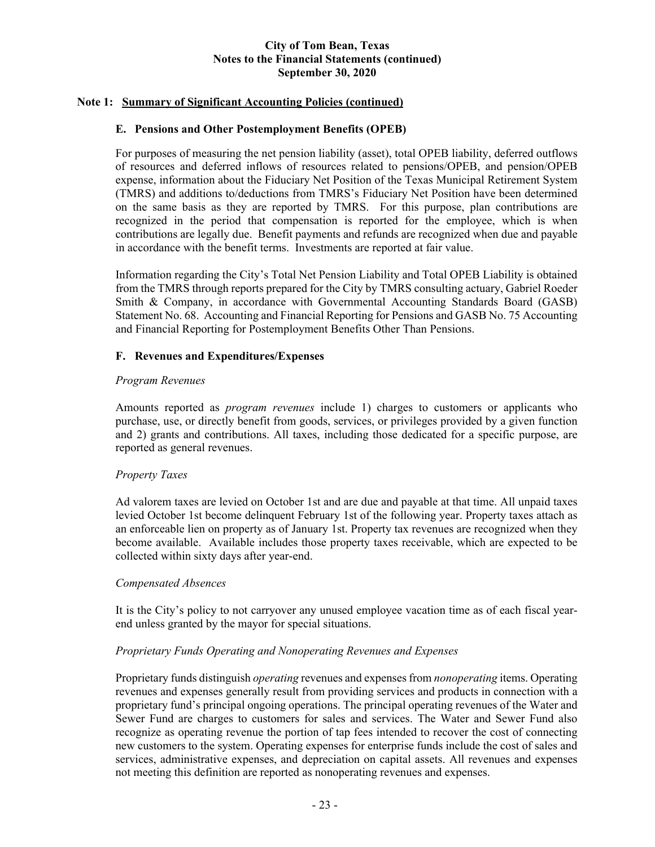## **Note 1: Summary of Significant Accounting Policies (continued)**

## **E. Pensions and Other Postemployment Benefits (OPEB)**

For purposes of measuring the net pension liability (asset), total OPEB liability, deferred outflows of resources and deferred inflows of resources related to pensions/OPEB, and pension/OPEB expense, information about the Fiduciary Net Position of the Texas Municipal Retirement System (TMRS) and additions to/deductions from TMRS's Fiduciary Net Position have been determined on the same basis as they are reported by TMRS. For this purpose, plan contributions are recognized in the period that compensation is reported for the employee, which is when contributions are legally due. Benefit payments and refunds are recognized when due and payable in accordance with the benefit terms. Investments are reported at fair value.

Information regarding the City's Total Net Pension Liability and Total OPEB Liability is obtained from the TMRS through reports prepared for the City by TMRS consulting actuary, Gabriel Roeder Smith & Company, in accordance with Governmental Accounting Standards Board (GASB) Statement No. 68. Accounting and Financial Reporting for Pensions and GASB No. 75 Accounting and Financial Reporting for Postemployment Benefits Other Than Pensions.

## **F. Revenues and Expenditures/Expenses**

## *Program Revenues*

Amounts reported as *program revenues* include 1) charges to customers or applicants who purchase, use, or directly benefit from goods, services, or privileges provided by a given function and 2) grants and contributions. All taxes, including those dedicated for a specific purpose, are reported as general revenues.

## *Property Taxes*

Ad valorem taxes are levied on October 1st and are due and payable at that time. All unpaid taxes levied October 1st become delinquent February 1st of the following year. Property taxes attach as an enforceable lien on property as of January 1st. Property tax revenues are recognized when they become available. Available includes those property taxes receivable, which are expected to be collected within sixty days after year-end.

## *Compensated Absences*

It is the City's policy to not carryover any unused employee vacation time as of each fiscal yearend unless granted by the mayor for special situations.

## *Proprietary Funds Operating and Nonoperating Revenues and Expenses*

Proprietary funds distinguish *operating* revenues and expenses from *nonoperating* items. Operating revenues and expenses generally result from providing services and products in connection with a proprietary fund's principal ongoing operations. The principal operating revenues of the Water and Sewer Fund are charges to customers for sales and services. The Water and Sewer Fund also recognize as operating revenue the portion of tap fees intended to recover the cost of connecting new customers to the system. Operating expenses for enterprise funds include the cost of sales and services, administrative expenses, and depreciation on capital assets. All revenues and expenses not meeting this definition are reported as nonoperating revenues and expenses.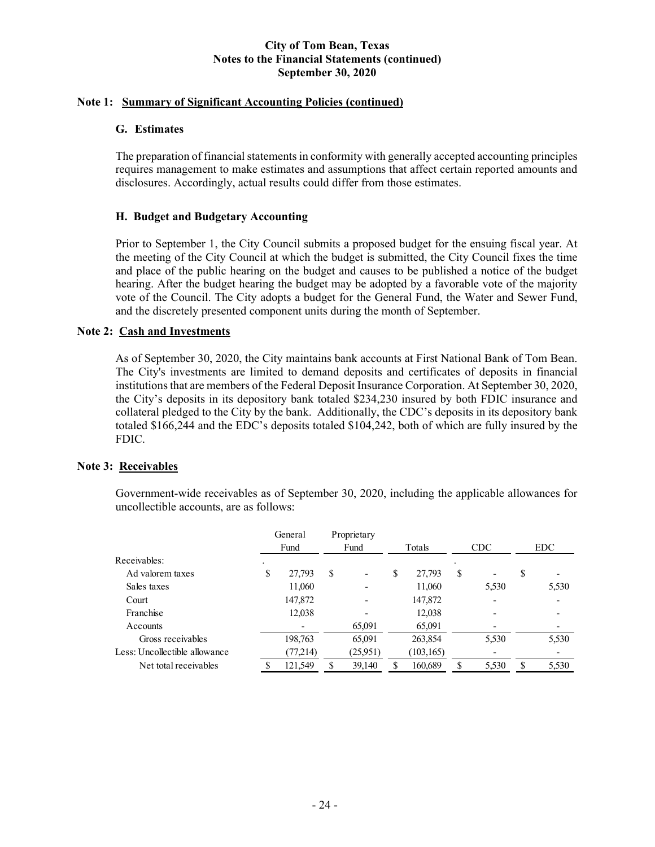## **Note 1: Summary of Significant Accounting Policies (continued)**

## **G. Estimates**

The preparation of financial statements in conformity with generally accepted accounting principles requires management to make estimates and assumptions that affect certain reported amounts and disclosures. Accordingly, actual results could differ from those estimates.

## **H. Budget and Budgetary Accounting**

Prior to September 1, the City Council submits a proposed budget for the ensuing fiscal year. At the meeting of the City Council at which the budget is submitted, the City Council fixes the time and place of the public hearing on the budget and causes to be published a notice of the budget hearing. After the budget hearing the budget may be adopted by a favorable vote of the majority vote of the Council. The City adopts a budget for the General Fund, the Water and Sewer Fund, and the discretely presented component units during the month of September.

## **Note 2: Cash and Investments**

As of September 30, 2020, the City maintains bank accounts at First National Bank of Tom Bean. The City's investments are limited to demand deposits and certificates of deposits in financial institutions that are members of the Federal Deposit Insurance Corporation. At September 30, 2020, the City's deposits in its depository bank totaled \$234,230 insured by both FDIC insurance and collateral pledged to the City by the bank. Additionally, the CDC's deposits in its depository bank totaled \$166,244 and the EDC's deposits totaled \$104,242, both of which are fully insured by the FDIC.

## **Note 3: Receivables**

Government-wide receivables as of September 30, 2020, including the applicable allowances for uncollectible accounts, are as follows:

|                               | General<br>Fund |          | Proprietary<br>Fund |          | Totals |            | CDC |                          | <b>EDC</b> |       |
|-------------------------------|-----------------|----------|---------------------|----------|--------|------------|-----|--------------------------|------------|-------|
| Receivables:                  |                 |          |                     |          |        |            |     |                          |            |       |
| Ad valorem taxes              | S               | 27,793   | S                   | ۰        | \$     | 27,793     | \$  | $\overline{\phantom{0}}$ | S          |       |
| Sales taxes                   |                 | 11,060   |                     |          |        | 11,060     |     | 5,530                    |            | 5,530 |
| Court                         |                 | 147,872  |                     |          |        | 147,872    |     |                          |            |       |
| Franchise                     |                 | 12,038   |                     |          |        | 12,038     |     |                          |            |       |
| Accounts                      |                 |          |                     | 65,091   |        | 65,091     |     |                          |            |       |
| Gross receivables             |                 | 198,763  |                     | 65,091   |        | 263,854    |     | 5,530                    |            | 5,530 |
| Less: Uncollectible allowance |                 | (77,214) |                     | (25,951) |        | (103, 165) |     |                          |            |       |
| Net total receivables         |                 | 121,549  |                     | 39,140   | S      | 160,689    | S   | 5,530                    | S          | 5,530 |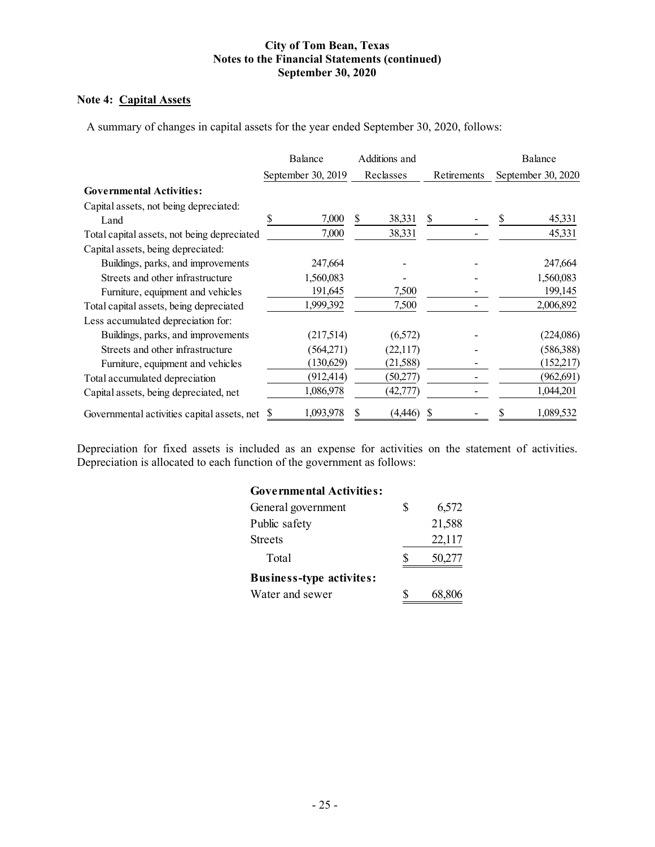## **Note 4: Capital Assets**

A summary of changes in capital assets for the year ended September 30, 2020, follows:

|                                             | Balance            |            |           | Additions and |             |  | Balance            |
|---------------------------------------------|--------------------|------------|-----------|---------------|-------------|--|--------------------|
|                                             | September 30, 2019 |            | Reclasses |               | Retirements |  | September 30, 2020 |
| <b>Governmental Activities:</b>             |                    |            |           |               |             |  |                    |
| Capital assets, not being depreciated:      |                    |            |           |               |             |  |                    |
| Land                                        | S                  | 7,000      | S         | 38,331        | S           |  | 45,331             |
| Total capital assets, not being depreciated |                    | 7,000      |           | 38,331        |             |  | 45,331             |
| Capital assets, being depreciated:          |                    |            |           |               |             |  |                    |
| Buildings, parks, and improvements          |                    | 247,664    |           |               |             |  | 247,664            |
| Streets and other infrastructure            |                    | 1,560,083  |           |               |             |  | 1,560,083          |
| Furniture, equipment and vehicles           |                    | 191,645    |           | 7,500         |             |  | 199,145            |
| Total capital assets, being depreciated     |                    | 1,999,392  |           | 7,500         |             |  | 2,006,892          |
| Less accumulated depreciation for:          |                    |            |           |               |             |  |                    |
| Buildings, parks, and improvements          |                    | (217,514)  |           | (6,572)       |             |  | (224,086)          |
| Streets and other infrastructure            |                    | (564,271)  |           | (22,117)      |             |  | (586,388)          |
| Furniture, equipment and vehicles           |                    | (130,629)  |           | (21, 588)     |             |  | (152,217)          |
| Total accumulated depreciation              |                    | (912, 414) |           | (50,277)      |             |  | (962, 691)         |
| Capital assets, being depreciated, net      |                    | 1,086,978  |           | (42,777)      |             |  | 1,044,201          |
| Governmental activities capital assets, net | <sup>2</sup>       | 1,093,978  |           | (4,446)       | S           |  | 1,089,532          |

Depreciation for fixed assets is included as an expense for activities on the statement of activities. Depreciation is allocated to each function of the government as follows:

# **Governmental Activities:**

| General government              | \$<br>6,572 |
|---------------------------------|-------------|
| Public safety                   | 21,588      |
| Streets                         | 22,117      |
| Total                           | 50,277      |
| <b>Business-type activites:</b> |             |
| Water and sewer                 | 68,806      |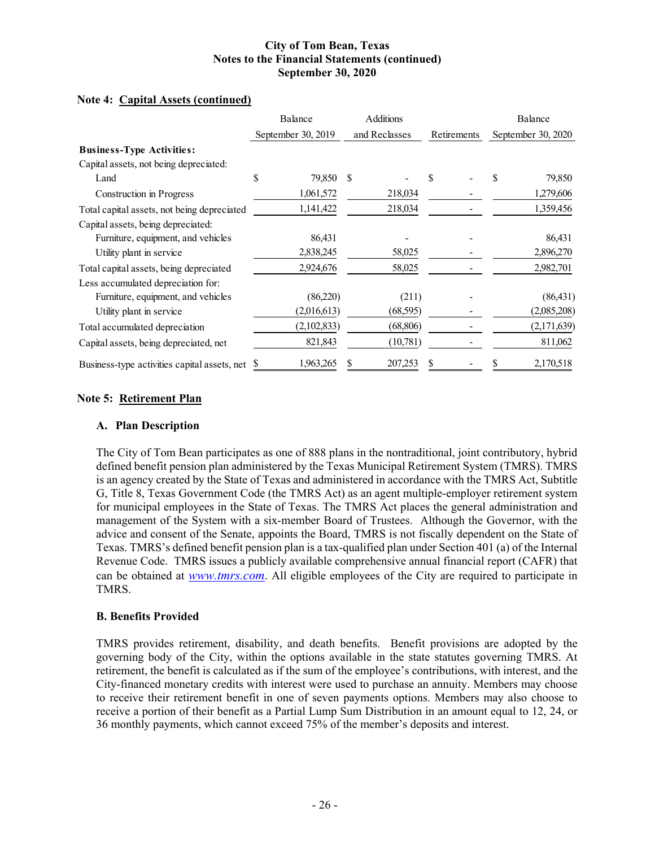# **Note 4: Capital Assets (continued)**

|                                              | Balance            |             |     | Additions     |             |  |                    | Balance     |
|----------------------------------------------|--------------------|-------------|-----|---------------|-------------|--|--------------------|-------------|
|                                              | September 30, 2019 |             |     | and Reclasses | Retirements |  | September 30, 2020 |             |
| <b>Business-Type Activities:</b>             |                    |             |     |               |             |  |                    |             |
| Capital assets, not being depreciated:       |                    |             |     |               |             |  |                    |             |
| Land                                         | \$                 | 79,850      | \$. |               | \$          |  |                    | 79,850      |
| Construction in Progress                     |                    | 1,061,572   |     | 218,034       |             |  |                    | 1,279,606   |
| Total capital assets, not being depreciated  |                    | 1,141,422   |     | 218,034       |             |  |                    | 1,359,456   |
| Capital assets, being depreciated:           |                    |             |     |               |             |  |                    |             |
| Furniture, equipment, and vehicles           |                    | 86,431      |     |               |             |  |                    | 86,431      |
| Utility plant in service                     |                    | 2,838,245   |     | 58,025        |             |  |                    | 2,896,270   |
| Total capital assets, being depreciated      |                    | 2,924,676   |     | 58,025        |             |  |                    | 2,982,701   |
| Less accumulated depreciation for:           |                    |             |     |               |             |  |                    |             |
| Furniture, equipment, and vehicles           |                    | (86,220)    |     | (211)         |             |  |                    | (86, 431)   |
| Utility plant in service                     |                    | (2,016,613) |     | (68, 595)     |             |  |                    | (2,085,208) |
| Total accumulated depreciation               |                    | (2,102,833) |     | (68, 806)     |             |  |                    | (2,171,639) |
| Capital assets, being depreciated, net       |                    | 821,843     |     | (10,781)      |             |  |                    | 811,062     |
| Business-type activities capital assets, net |                    | 1,963,265   |     | 207,253       |             |  |                    | 2,170,518   |

## **Note 5: Retirement Plan**

## **A. Plan Description**

The City of Tom Bean participates as one of 888 plans in the nontraditional, joint contributory, hybrid defined benefit pension plan administered by the Texas Municipal Retirement System (TMRS). TMRS is an agency created by the State of Texas and administered in accordance with the TMRS Act, Subtitle G, Title 8, Texas Government Code (the TMRS Act) as an agent multiple-employer retirement system for municipal employees in the State of Texas. The TMRS Act places the general administration and management of the System with a six-member Board of Trustees. Although the Governor, with the advice and consent of the Senate, appoints the Board, TMRS is not fiscally dependent on the State of Texas. TMRS's defined benefit pension plan is a tax-qualified plan under Section 401 (a) of the Internal Revenue Code. TMRS issues a publicly available comprehensive annual financial report (CAFR) that can be obtained at *www.tmrs.com*. All eligible employees of the City are required to participate in TMRS.

## **B. Benefits Provided**

TMRS provides retirement, disability, and death benefits. Benefit provisions are adopted by the governing body of the City, within the options available in the state statutes governing TMRS. At retirement, the benefit is calculated as if the sum of the employee's contributions, with interest, and the City-financed monetary credits with interest were used to purchase an annuity. Members may choose to receive their retirement benefit in one of seven payments options. Members may also choose to receive a portion of their benefit as a Partial Lump Sum Distribution in an amount equal to 12, 24, or 36 monthly payments, which cannot exceed 75% of the member's deposits and interest.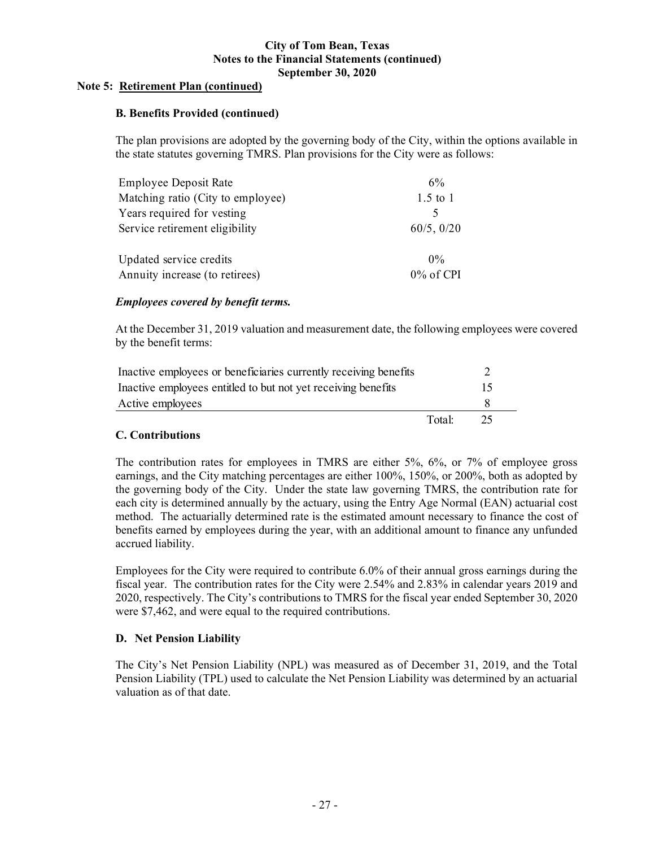## **Note 5: Retirement Plan (continued)**

## **B. Benefits Provided (continued)**

The plan provisions are adopted by the governing body of the City, within the options available in the state statutes governing TMRS. Plan provisions for the City were as follows:

| <b>Employee Deposit Rate</b>      | 6%           |
|-----------------------------------|--------------|
| Matching ratio (City to employee) | $1.5$ to $1$ |
| Years required for vesting        |              |
| Service retirement eligibility    | 60/5, 0/20   |
| Updated service credits           | $0\%$        |
| Annuity increase (to retirees)    | 0% of CPI    |

## *Employees covered by benefit terms.*

At the December 31, 2019 valuation and measurement date, the following employees were covered by the benefit terms:

| Inactive employees or beneficiaries currently receiving benefits |        |                 |  |
|------------------------------------------------------------------|--------|-----------------|--|
| Inactive employees entitled to but not yet receiving benefits    |        | $\overline{15}$ |  |
| Active employees                                                 |        |                 |  |
|                                                                  | Total: | 25.             |  |

## **C. Contributions**

The contribution rates for employees in TMRS are either 5%, 6%, or 7% of employee gross earnings, and the City matching percentages are either 100%, 150%, or 200%, both as adopted by the governing body of the City. Under the state law governing TMRS, the contribution rate for each city is determined annually by the actuary, using the Entry Age Normal (EAN) actuarial cost method. The actuarially determined rate is the estimated amount necessary to finance the cost of benefits earned by employees during the year, with an additional amount to finance any unfunded accrued liability.

Employees for the City were required to contribute 6.0% of their annual gross earnings during the fiscal year. The contribution rates for the City were 2.54% and 2.83% in calendar years 2019 and 2020, respectively. The City's contributions to TMRS for the fiscal year ended September 30, 2020 were \$7,462, and were equal to the required contributions.

## **D. Net Pension Liability**

The City's Net Pension Liability (NPL) was measured as of December 31, 2019, and the Total Pension Liability (TPL) used to calculate the Net Pension Liability was determined by an actuarial valuation as of that date.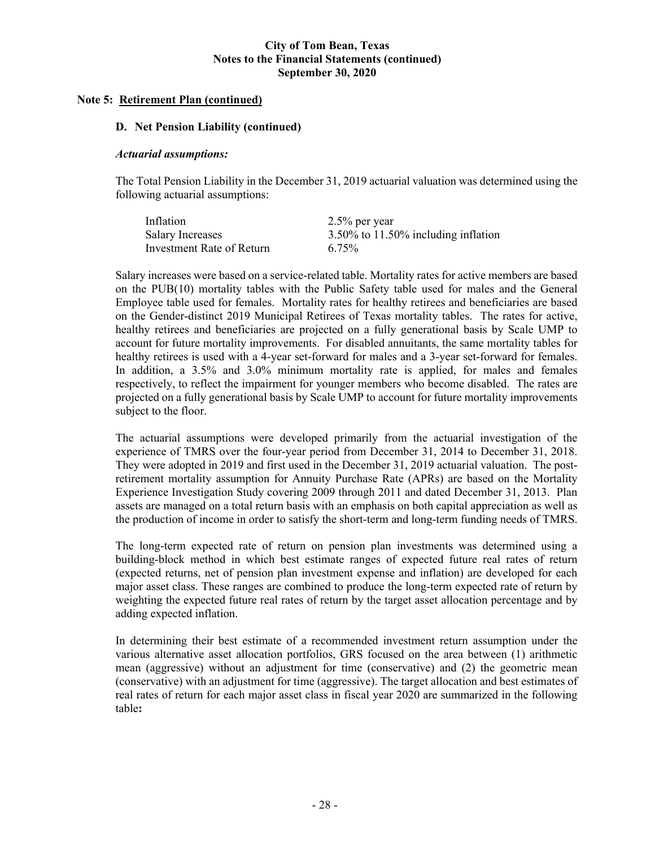## **Note 5: Retirement Plan (continued)**

## **D. Net Pension Liability (continued)**

#### *Actuarial assumptions:*

The Total Pension Liability in the December 31, 2019 actuarial valuation was determined using the following actuarial assumptions:

| Inflation                 | $2.5\%$ per year                    |
|---------------------------|-------------------------------------|
| Salary Increases          | 3.50% to 11.50% including inflation |
| Investment Rate of Return | 6.75%                               |

Salary increases were based on a service-related table. Mortality rates for active members are based on the PUB(10) mortality tables with the Public Safety table used for males and the General Employee table used for females. Mortality rates for healthy retirees and beneficiaries are based on the Gender-distinct 2019 Municipal Retirees of Texas mortality tables. The rates for active, healthy retirees and beneficiaries are projected on a fully generational basis by Scale UMP to account for future mortality improvements. For disabled annuitants, the same mortality tables for healthy retirees is used with a 4-year set-forward for males and a 3-year set-forward for females. In addition, a 3.5% and 3.0% minimum mortality rate is applied, for males and females respectively, to reflect the impairment for younger members who become disabled. The rates are projected on a fully generational basis by Scale UMP to account for future mortality improvements subject to the floor.

The actuarial assumptions were developed primarily from the actuarial investigation of the experience of TMRS over the four-year period from December 31, 2014 to December 31, 2018. They were adopted in 2019 and first used in the December 31, 2019 actuarial valuation. The postretirement mortality assumption for Annuity Purchase Rate (APRs) are based on the Mortality Experience Investigation Study covering 2009 through 2011 and dated December 31, 2013. Plan assets are managed on a total return basis with an emphasis on both capital appreciation as well as the production of income in order to satisfy the short-term and long-term funding needs of TMRS.

The long-term expected rate of return on pension plan investments was determined using a building-block method in which best estimate ranges of expected future real rates of return (expected returns, net of pension plan investment expense and inflation) are developed for each major asset class. These ranges are combined to produce the long-term expected rate of return by weighting the expected future real rates of return by the target asset allocation percentage and by adding expected inflation.

In determining their best estimate of a recommended investment return assumption under the various alternative asset allocation portfolios, GRS focused on the area between (1) arithmetic mean (aggressive) without an adjustment for time (conservative) and (2) the geometric mean (conservative) with an adjustment for time (aggressive). The target allocation and best estimates of real rates of return for each major asset class in fiscal year 2020 are summarized in the following table**:**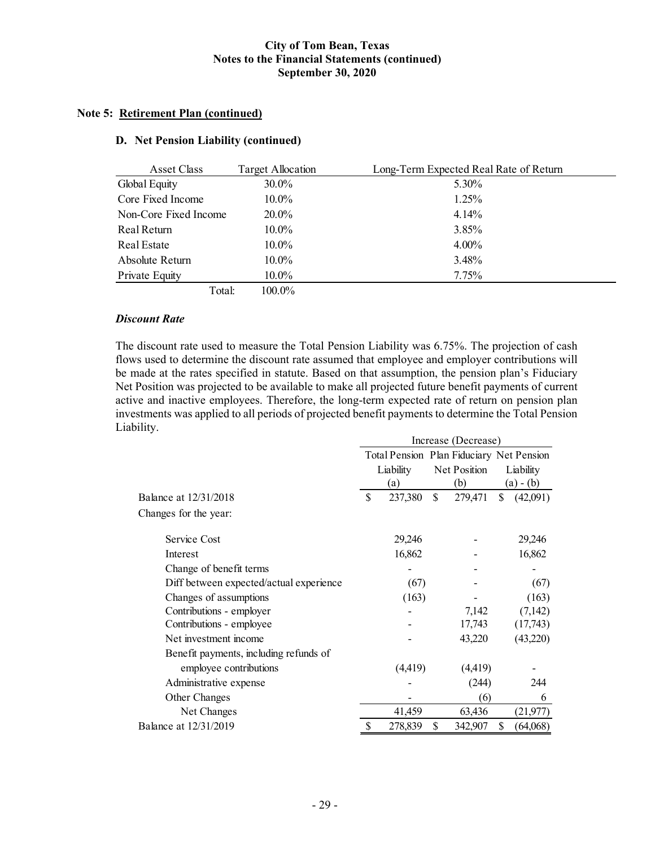## **Note 5: Retirement Plan (continued)**

## **D. Net Pension Liability (continued)**

| Asset Class           | <b>Target Allocation</b> | Long-Term Expected Real Rate of Return |
|-----------------------|--------------------------|----------------------------------------|
| Global Equity         | $30.0\%$                 | 5.30%                                  |
| Core Fixed Income     | $10.0\%$                 | $1.25\%$                               |
| Non-Core Fixed Income | 20.0%                    | 4.14%                                  |
| Real Return           | $10.0\%$                 | 3.85%                                  |
| Real Estate           | $10.0\%$                 | $4.00\%$                               |
| Absolute Return       | $10.0\%$                 | 3.48%                                  |
| Private Equity        | $10.0\%$                 | 7.75%                                  |
| Total:                | 100.0%                   |                                        |

#### *Discount Rate*

The discount rate used to measure the Total Pension Liability was 6.75%. The projection of cash flows used to determine the discount rate assumed that employee and employer contributions will be made at the rates specified in statute. Based on that assumption, the pension plan's Fiduciary Net Position was projected to be available to make all projected future benefit payments of current active and inactive employees. Therefore, the long-term expected rate of return on pension plan investments was applied to all periods of projected benefit payments to determine the Total Pension Liability.

|                                         | Increase (Decrease) |                                          |    |              |           |             |  |
|-----------------------------------------|---------------------|------------------------------------------|----|--------------|-----------|-------------|--|
|                                         |                     | Total Pension Plan Fiduciary Net Pension |    |              |           |             |  |
|                                         |                     | Liability                                |    | Net Position | Liability |             |  |
|                                         | (a)                 |                                          |    | (b)          |           | $(a) - (b)$ |  |
| Balance at 12/31/2018                   |                     | 237,380                                  | \$ | 279,471      | \$        | (42,091)    |  |
| Changes for the year:                   |                     |                                          |    |              |           |             |  |
| Service Cost                            |                     | 29,246                                   |    |              |           | 29,246      |  |
| Interest                                |                     | 16,862                                   |    |              |           | 16,862      |  |
| Change of benefit terms                 |                     |                                          |    |              |           |             |  |
| Diff between expected/actual experience | (67)                |                                          |    | (67)         |           |             |  |
| Changes of assumptions                  |                     | (163)                                    |    |              |           | (163)       |  |
| Contributions - employer                |                     |                                          |    | 7,142        |           | (7,142)     |  |
| Contributions - employee                |                     |                                          |    | 17,743       |           | (17,743)    |  |
| Net investment income                   |                     |                                          |    | 43,220       |           | (43,220)    |  |
| Benefit payments, including refunds of  |                     |                                          |    |              |           |             |  |
| employee contributions                  |                     | (4, 419)                                 |    | (4, 419)     |           |             |  |
| Administrative expense                  |                     |                                          |    | (244)        |           | 244         |  |
| Other Changes                           |                     |                                          |    | (6)          |           | 6           |  |
| Net Changes                             |                     | 41,459                                   |    | 63,436       |           | (21, 977)   |  |
| Balance at 12/31/2019                   | S                   | 278,839                                  | \$ | 342,907      | \$        | (64,068)    |  |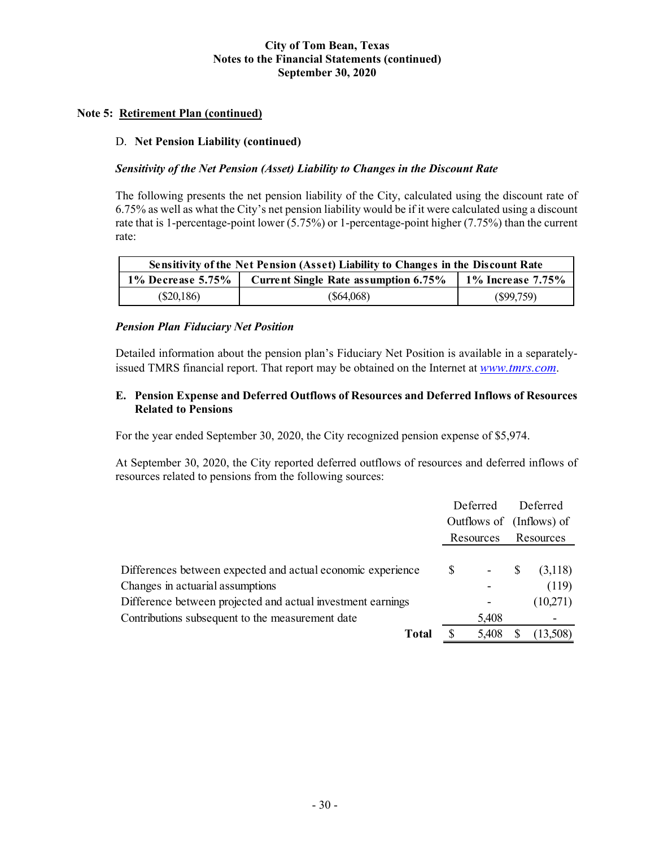## **Note 5: Retirement Plan (continued)**

## D. **Net Pension Liability (continued)**

## *Sensitivity of the Net Pension (Asset) Liability to Changes in the Discount Rate*

The following presents the net pension liability of the City, calculated using the discount rate of 6.75% as well as what the City's net pension liability would be if it were calculated using a discount rate that is 1-percentage-point lower (5.75%) or 1-percentage-point higher (7.75%) than the current rate:

| Sensitivity of the Net Pension (Asset) Liability to Changes in the Discount Rate |                       |           |  |  |  |  |
|----------------------------------------------------------------------------------|-----------------------|-----------|--|--|--|--|
| $1\%$ Decrease 5.75%                                                             | 1\% Increase $7.75\%$ |           |  |  |  |  |
| $(\$20,186)$                                                                     | $(\$64,068)$          | (S99,759) |  |  |  |  |

## *Pension Plan Fiduciary Net Position*

Detailed information about the pension plan's Fiduciary Net Position is available in a separatelyissued TMRS financial report. That report may be obtained on the Internet at *www.tmrs.com*.

## **E. Pension Expense and Deferred Outflows of Resources and Deferred Inflows of Resources Related to Pensions**

For the year ended September 30, 2020, the City recognized pension expense of \$5,974.

At September 30, 2020, the City reported deferred outflows of resources and deferred inflows of resources related to pensions from the following sources:

|                                                             |                          | Deferred                 | Deferred  |          |
|-------------------------------------------------------------|--------------------------|--------------------------|-----------|----------|
|                                                             | Outflows of (Inflows) of |                          |           |          |
|                                                             | Resources                |                          | Resources |          |
|                                                             |                          |                          |           |          |
| Differences between expected and actual economic experience | <sup>\$</sup>            | $\overline{\phantom{a}}$ | S         | (3,118)  |
| Changes in actuarial assumptions                            |                          |                          |           | (119)    |
| Difference between projected and actual investment earnings |                          |                          |           | (10,271) |
| Contributions subsequent to the measurement date            |                          | 5,408                    |           |          |
| <b>Total</b>                                                | S                        | 5,408                    |           | (13,508) |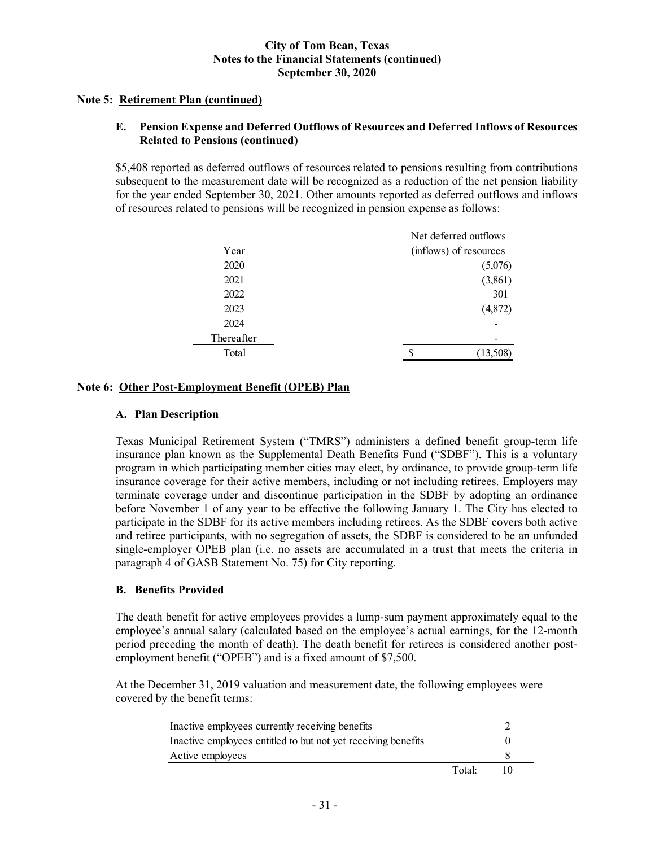## **Note 5: Retirement Plan (continued)**

## **E. Pension Expense and Deferred Outflows of Resources and Deferred Inflows of Resources Related to Pensions (continued)**

\$5,408 reported as deferred outflows of resources related to pensions resulting from contributions subsequent to the measurement date will be recognized as a reduction of the net pension liability for the year ended September 30, 2021. Other amounts reported as deferred outflows and inflows of resources related to pensions will be recognized in pension expense as follows:

|            | Net deferred outflows  |
|------------|------------------------|
| Year       | (inflows) of resources |
| 2020       | (5,076)                |
| 2021       | (3,861)                |
| 2022       | 301                    |
| 2023       | (4,872)                |
| 2024       |                        |
| Thereafter |                        |
| Total      | (13,508)               |
|            |                        |

## **Note 6: Other Post-Employment Benefit (OPEB) Plan**

## **A. Plan Description**

Texas Municipal Retirement System ("TMRS") administers a defined benefit group-term life insurance plan known as the Supplemental Death Benefits Fund ("SDBF"). This is a voluntary program in which participating member cities may elect, by ordinance, to provide group-term life insurance coverage for their active members, including or not including retirees. Employers may terminate coverage under and discontinue participation in the SDBF by adopting an ordinance before November 1 of any year to be effective the following January 1. The City has elected to participate in the SDBF for its active members including retirees. As the SDBF covers both active and retiree participants, with no segregation of assets, the SDBF is considered to be an unfunded single-employer OPEB plan (i.e. no assets are accumulated in a trust that meets the criteria in paragraph 4 of GASB Statement No. 75) for City reporting.

## **B. Benefits Provided**

The death benefit for active employees provides a lump-sum payment approximately equal to the employee's annual salary (calculated based on the employee's actual earnings, for the 12-month period preceding the month of death). The death benefit for retirees is considered another postemployment benefit ("OPEB") and is a fixed amount of \$7,500.

At the December 31, 2019 valuation and measurement date, the following employees were covered by the benefit terms:

| Inactive employees currently receiving benefits               |        |    |
|---------------------------------------------------------------|--------|----|
| Inactive employees entitled to but not yet receiving benefits |        |    |
| Active employees                                              |        |    |
|                                                               | Total: | 10 |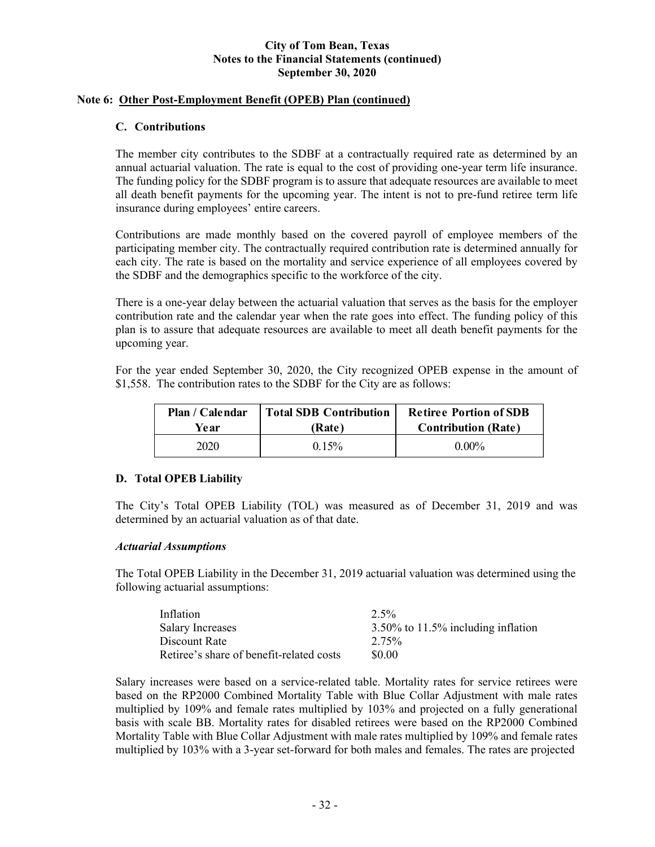## **Note 6: Other Post-Employment Benefit (OPEB) Plan (continued)**

## **C. Contributions**

The member city contributes to the SDBF at a contractually required rate as determined by an annual actuarial valuation. The rate is equal to the cost of providing one-year term life insurance. The funding policy for the SDBF program is to assure that adequate resources are available to meet all death benefit payments for the upcoming year. The intent is not to pre-fund retiree term life insurance during employees' entire careers.

Contributions are made monthly based on the covered payroll of employee members of the participating member city. The contractually required contribution rate is determined annually for each city. The rate is based on the mortality and service experience of all employees covered by the SDBF and the demographics specific to the workforce of the city.

There is a one-year delay between the actuarial valuation that serves as the basis for the employer contribution rate and the calendar year when the rate goes into effect. The funding policy of this plan is to assure that adequate resources are available to meet all death benefit payments for the upcoming year.

For the year ended September 30, 2020, the City recognized OPEB expense in the amount of \$1,558. The contribution rates to the SDBF for the City are as follows:

| Plan / Calendar | <sup>'</sup> Total SDB Contribution | <b>Retiree Portion of SDB</b> |
|-----------------|-------------------------------------|-------------------------------|
| Year            | (Rate)                              | <b>Contribution (Rate)</b>    |
| 2020            | $0.15\%$                            | $0.00\%$                      |

## **D. Total OPEB Liability**

The City's Total OPEB Liability (TOL) was measured as of December 31, 2019 and was determined by an actuarial valuation as of that date.

## *Actuarial Assumptions*

The Total OPEB Liability in the December 31, 2019 actuarial valuation was determined using the following actuarial assumptions:

| Inflation                                | $2.5\%$                               |
|------------------------------------------|---------------------------------------|
| <b>Salary Increases</b>                  | $3.50\%$ to 11.5% including inflation |
| Discount Rate                            | 2.75%                                 |
| Retiree's share of benefit-related costs | \$0.00                                |

Salary increases were based on a service-related table. Mortality rates for service retirees were based on the RP2000 Combined Mortality Table with Blue Collar Adjustment with male rates multiplied by 109% and female rates multiplied by 103% and projected on a fully generational basis with scale BB. Mortality rates for disabled retirees were based on the RP2000 Combined Mortality Table with Blue Collar Adjustment with male rates multiplied by 109% and female rates multiplied by 103% with a 3-year set-forward for both males and females. The rates are projected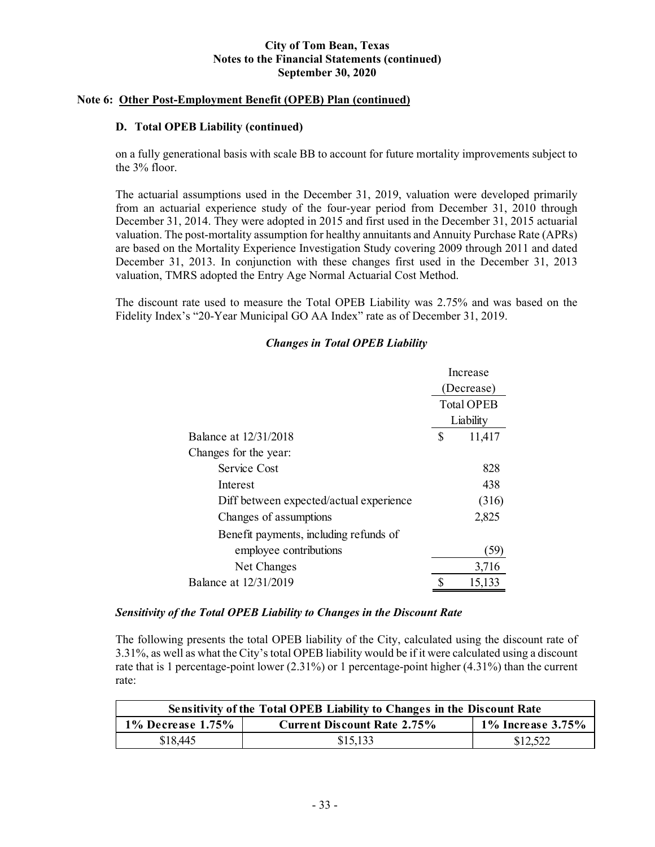## **Note 6: Other Post-Employment Benefit (OPEB) Plan (continued)**

## **D. Total OPEB Liability (continued)**

on a fully generational basis with scale BB to account for future mortality improvements subject to the 3% floor.

The actuarial assumptions used in the December 31, 2019, valuation were developed primarily from an actuarial experience study of the four-year period from December 31, 2010 through December 31, 2014. They were adopted in 2015 and first used in the December 31, 2015 actuarial valuation. The post-mortality assumption for healthy annuitants and Annuity Purchase Rate (APRs) are based on the Mortality Experience Investigation Study covering 2009 through 2011 and dated December 31, 2013. In conjunction with these changes first used in the December 31, 2013 valuation, TMRS adopted the Entry Age Normal Actuarial Cost Method.

The discount rate used to measure the Total OPEB Liability was 2.75% and was based on the Fidelity Index's "20-Year Municipal GO AA Index" rate as of December 31, 2019.

## *Changes in Total OPEB Liability*

|                                         | Increase |                   |
|-----------------------------------------|----------|-------------------|
|                                         |          | (Decrease)        |
|                                         |          | <b>Total OPEB</b> |
|                                         |          | Liability         |
| Balance at 12/31/2018                   | \$       | 11,417            |
| Changes for the year:                   |          |                   |
| Service Cost                            |          | 828               |
| Interest                                |          | 438               |
| Diff between expected/actual experience |          | (316)             |
| Changes of assumptions                  |          | 2,825             |
| Benefit payments, including refunds of  |          |                   |
| employee contributions                  |          | 59                |
| Net Changes                             |          | 3,716             |
| Balance at 12/31/2019                   |          | 15,133            |

## *Sensitivity of the Total OPEB Liability to Changes in the Discount Rate*

The following presents the total OPEB liability of the City, calculated using the discount rate of 3.31%, as well as what the City's total OPEB liability would be if it were calculated using a discount rate that is 1 percentage-point lower (2.31%) or 1 percentage-point higher (4.31%) than the current rate:

| Sensitivity of the Total OPEB Liability to Changes in the Discount Rate               |          |          |  |  |  |  |  |
|---------------------------------------------------------------------------------------|----------|----------|--|--|--|--|--|
| $1\%$ Increase 3.75%<br>$1\%$ Decrease $1.75\%$<br><b>Current Discount Rate 2.75%</b> |          |          |  |  |  |  |  |
| \$18,445                                                                              | \$15,133 | \$12,522 |  |  |  |  |  |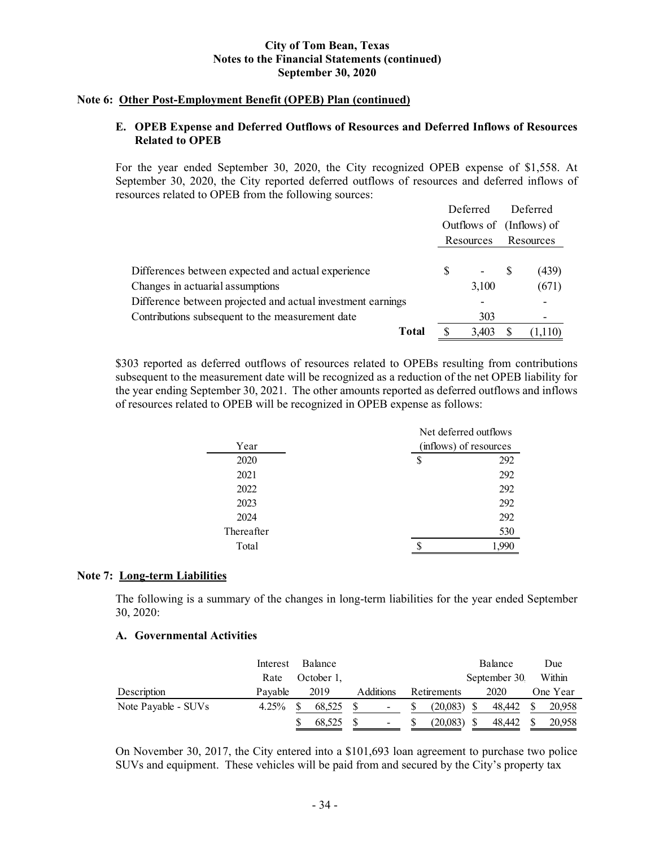## **Note 6: Other Post-Employment Benefit (OPEB) Plan (continued)**

## **E. OPEB Expense and Deferred Outflows of Resources and Deferred Inflows of Resources Related to OPEB**

For the year ended September 30, 2020, the City recognized OPEB expense of \$1,558. At September 30, 2020, the City reported deferred outflows of resources and deferred inflows of resources related to OPEB from the following sources:

|                                                             |   | Deferred                 |  | Deferred  |  |
|-------------------------------------------------------------|---|--------------------------|--|-----------|--|
|                                                             |   | Outflows of (Inflows) of |  |           |  |
|                                                             |   | Resources                |  | Resources |  |
|                                                             |   |                          |  |           |  |
| Differences between expected and actual experience          | S | <b>Contract</b>          |  | (439)     |  |
| Changes in actuarial assumptions                            |   | 3,100                    |  | (671)     |  |
| Difference between projected and actual investment earnings |   |                          |  |           |  |
| Contributions subsequent to the measurement date            |   | 303                      |  | ۰         |  |
| Total                                                       |   | 3.403                    |  | (1,110)   |  |

\$303 reported as deferred outflows of resources related to OPEBs resulting from contributions subsequent to the measurement date will be recognized as a reduction of the net OPEB liability for the year ending September 30, 2021. The other amounts reported as deferred outflows and inflows of resources related to OPEB will be recognized in OPEB expense as follows:

|            |                        | Net deferred outflows |  |  |  |
|------------|------------------------|-----------------------|--|--|--|
| Year       | (inflows) of resources |                       |  |  |  |
| 2020       | S                      | 292                   |  |  |  |
| 2021       |                        | 292                   |  |  |  |
| 2022       |                        | 292                   |  |  |  |
| 2023       |                        | 292                   |  |  |  |
| 2024       |                        | 292                   |  |  |  |
| Thereafter |                        | 530                   |  |  |  |
| Total      |                        |                       |  |  |  |
|            |                        |                       |  |  |  |

#### **Note 7: Long-term Liabilities**

The following is a summary of the changes in long-term liabilities for the year ended September 30, 2020:

#### **A. Governmental Activities**

|                     | Interest | Balance    |           |               | Balance      | Due      |
|---------------------|----------|------------|-----------|---------------|--------------|----------|
|                     | Rate     | October 1. |           |               | September 30 | Within   |
| Description         | Pavable  | 2019       | Additions | Retirements   | 2020         | One Year |
| Note Payable - SUVs | 4.25%    | 68.525     | $\sim$    | $(20.083)$ \$ | 48.442       | 20,958   |
|                     |          | 68.525     | $\sim$    | (20,083)      | 48,442       | 20,958   |

On November 30, 2017, the City entered into a \$101,693 loan agreement to purchase two police SUVs and equipment. These vehicles will be paid from and secured by the City's property tax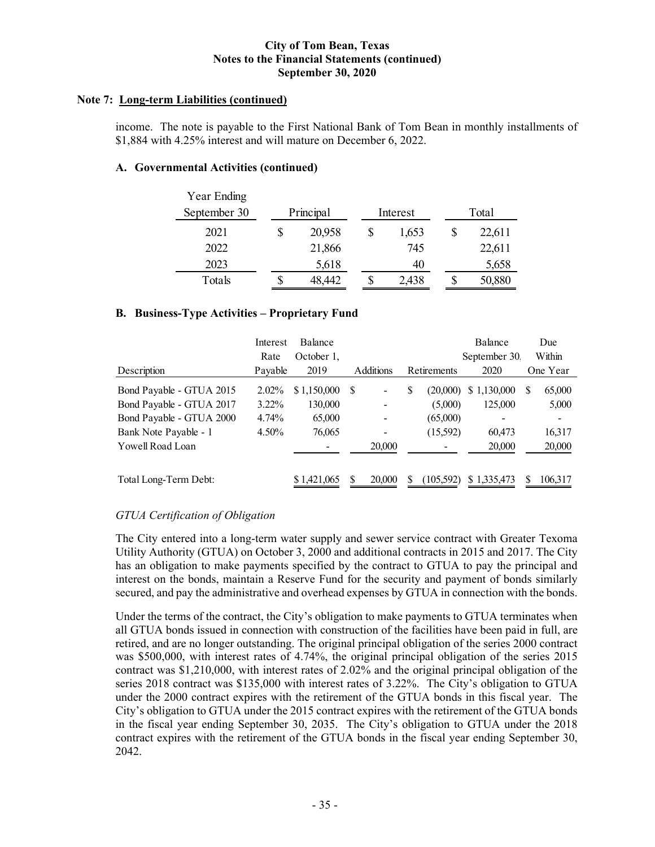## **Note 7: Long-term Liabilities (continued)**

income. The note is payable to the First National Bank of Tom Bean in monthly installments of \$1,884 with 4.25% interest and will mature on December 6, 2022.

## **A. Governmental Activities (continued)**

| Year Ending  |    |           |          |        |
|--------------|----|-----------|----------|--------|
| September 30 |    | Principal | Interest | Total  |
| 2021         | \$ | 20,958    | 1,653    | 22,611 |
| 2022         |    | 21,866    | 745      | 22,611 |
| 2023         |    | 5,618     | 40       | 5,658  |
| Totals       | S  | 48.442    | 2,438    | 50,880 |

## **B. Business-Type Activities – Proprietary Fund**

|                          | Interest | <b>Balance</b> |               |                                 |    |            | Balance      |          | Due                      |
|--------------------------|----------|----------------|---------------|---------------------------------|----|------------|--------------|----------|--------------------------|
|                          | Rate     | October 1,     |               |                                 |    |            | September 30 |          | Within                   |
| Description              | Payable  | 2019           |               | <b>Additions</b><br>Retirements |    | 2020       |              | One Year |                          |
| Bond Payable - GTUA 2015 | $2.02\%$ | \$1,150,000    | <sup>\$</sup> |                                 | \$ | (20,000)   | \$1,130,000  | S        | 65,000                   |
| Bond Payable - GTUA 2017 | $3.22\%$ | 130,000        |               |                                 |    | (5,000)    | 125,000      |          | 5,000                    |
| Bond Payable - GTUA 2000 | 4.74%    | 65,000         |               |                                 |    | (65,000)   |              |          | $\overline{\phantom{a}}$ |
| Bank Note Payable - 1    | $4.50\%$ | 76,065         |               |                                 |    | (15,592)   | 60,473       |          | 16,317                   |
| Yowell Road Loan         |          |                |               | 20,000                          |    | ٠          | 20,000       |          | 20,000                   |
| Total Long-Term Debt:    |          | \$1,421,065    | S             | 20,000                          |    | (105, 592) | \$1,335,473  | S        | 106,317                  |

## *GTUA Certification of Obligation*

The City entered into a long-term water supply and sewer service contract with Greater Texoma Utility Authority (GTUA) on October 3, 2000 and additional contracts in 2015 and 2017. The City has an obligation to make payments specified by the contract to GTUA to pay the principal and interest on the bonds, maintain a Reserve Fund for the security and payment of bonds similarly secured, and pay the administrative and overhead expenses by GTUA in connection with the bonds.

Under the terms of the contract, the City's obligation to make payments to GTUA terminates when all GTUA bonds issued in connection with construction of the facilities have been paid in full, are retired, and are no longer outstanding. The original principal obligation of the series 2000 contract was \$500,000, with interest rates of 4.74%, the original principal obligation of the series 2015 contract was \$1,210,000, with interest rates of 2.02% and the original principal obligation of the series 2018 contract was \$135,000 with interest rates of 3.22%. The City's obligation to GTUA under the 2000 contract expires with the retirement of the GTUA bonds in this fiscal year. The City's obligation to GTUA under the 2015 contract expires with the retirement of the GTUA bonds in the fiscal year ending September 30, 2035. The City's obligation to GTUA under the 2018 contract expires with the retirement of the GTUA bonds in the fiscal year ending September 30, 2042.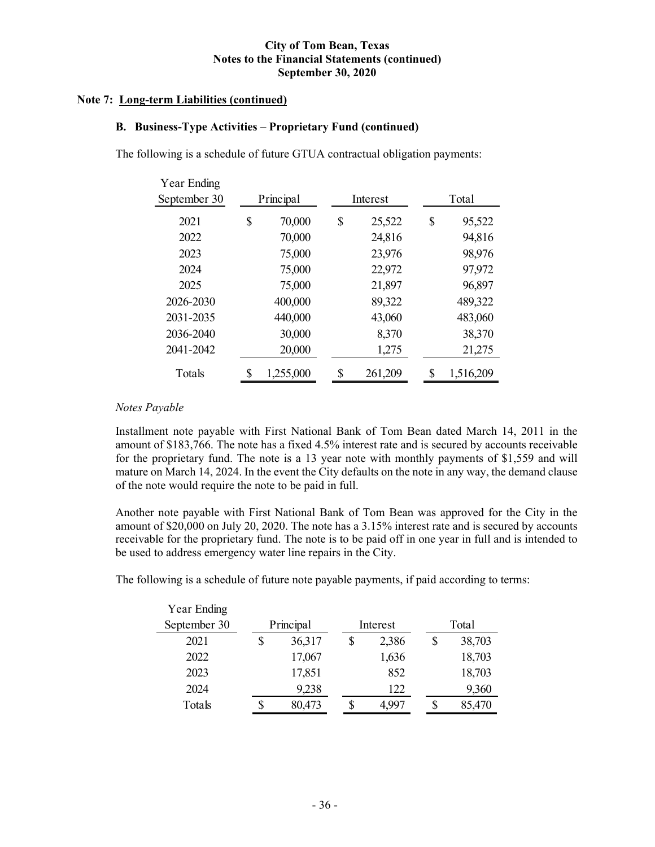## **Note 7: Long-term Liabilities (continued)**

## **B. Business-Type Activities – Proprietary Fund (continued)**

The following is a schedule of future GTUA contractual obligation payments:

| Year Ending  |           |           |               |       |           |  |  |  |
|--------------|-----------|-----------|---------------|-------|-----------|--|--|--|
| September 30 | Principal |           | Interest      | Total |           |  |  |  |
| 2021         | \$        | 70,000    | \$<br>25,522  | \$    | 95,522    |  |  |  |
| 2022         |           | 70,000    | 24,816        |       | 94,816    |  |  |  |
| 2023         |           | 75,000    | 23,976        |       | 98,976    |  |  |  |
| 2024         |           | 75,000    | 22,972        |       | 97,972    |  |  |  |
| 2025         |           | 75,000    | 21,897        |       | 96,897    |  |  |  |
| 2026-2030    |           | 400,000   | 89,322        |       | 489,322   |  |  |  |
| 2031-2035    |           | 440,000   | 43,060        |       | 483,060   |  |  |  |
| 2036-2040    |           | 30,000    | 8,370         |       | 38,370    |  |  |  |
| 2041-2042    |           | 20,000    | 1,275         |       | 21,275    |  |  |  |
| Totals       | \$        | 1,255,000 | \$<br>261,209 | \$    | 1,516,209 |  |  |  |

## *Notes Payable*

Installment note payable with First National Bank of Tom Bean dated March 14, 2011 in the amount of \$183,766. The note has a fixed 4.5% interest rate and is secured by accounts receivable for the proprietary fund. The note is a 13 year note with monthly payments of \$1,559 and will mature on March 14, 2024. In the event the City defaults on the note in any way, the demand clause of the note would require the note to be paid in full.

Another note payable with First National Bank of Tom Bean was approved for the City in the amount of \$20,000 on July 20, 2020. The note has a 3.15% interest rate and is secured by accounts receivable for the proprietary fund. The note is to be paid off in one year in full and is intended to be used to address emergency water line repairs in the City.

The following is a schedule of future note payable payments, if paid according to terms:

| Year Ending  |   |           |  |          |        |
|--------------|---|-----------|--|----------|--------|
| September 30 |   | Principal |  | Interest | Total  |
| 2021         | S | 36,317    |  | 2,386    | 38,703 |
| 2022         |   | 17,067    |  | 1,636    | 18,703 |
| 2023         |   | 17,851    |  | 852      | 18,703 |
| 2024         |   | 9,238     |  | 122      | 9,360  |
| Totals       |   | 80,473    |  | 4,997    | 85,470 |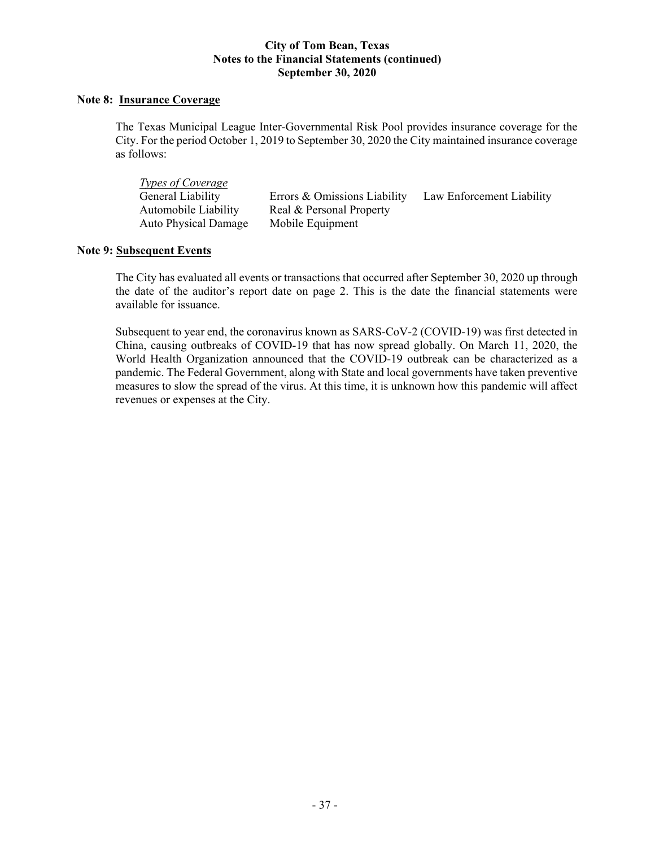## **Note 8: Insurance Coverage**

The Texas Municipal League Inter-Governmental Risk Pool provides insurance coverage for the City. For the period October 1, 2019 to September 30, 2020 the City maintained insurance coverage as follows:

| <i><u><b>Types of Coverage</b></u></i> |                              |                           |
|----------------------------------------|------------------------------|---------------------------|
| General Liability                      | Errors & Omissions Liability | Law Enforcement Liability |
| Automobile Liability                   | Real & Personal Property     |                           |
| <b>Auto Physical Damage</b>            | Mobile Equipment             |                           |

## **Note 9: Subsequent Events**

The City has evaluated all events or transactions that occurred after September 30, 2020 up through the date of the auditor's report date on page 2. This is the date the financial statements were available for issuance.

Subsequent to year end, the coronavirus known as SARS-CoV-2 (COVID-19) was first detected in China, causing outbreaks of COVID-19 that has now spread globally. On March 11, 2020, the World Health Organization announced that the COVID-19 outbreak can be characterized as a pandemic. The Federal Government, along with State and local governments have taken preventive measures to slow the spread of the virus. At this time, it is unknown how this pandemic will affect revenues or expenses at the City.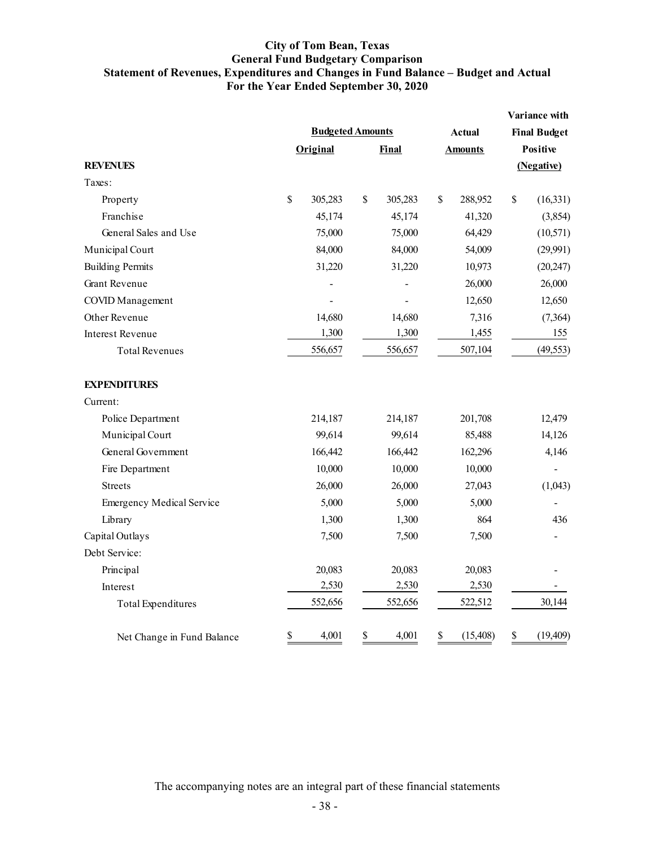## **City of Tom Bean, Texas General Fund Budgetary Comparison Statement of Revenues, Expenditures and Changes in Fund Balance – Budget and Actual For the Year Ended September 30, 2020**

|                                  |                         |          |    |         |    |                |                 | Variance with       |  |
|----------------------------------|-------------------------|----------|----|---------|----|----------------|-----------------|---------------------|--|
|                                  | <b>Budgeted Amounts</b> |          |    |         |    | <b>Actual</b>  |                 | <b>Final Budget</b> |  |
|                                  |                         | Original |    | Final   |    | <b>Amounts</b> | <b>Positive</b> |                     |  |
| <b>REVENUES</b>                  |                         |          |    |         |    |                |                 | (Negative)          |  |
| Taxes:                           |                         |          |    |         |    |                |                 |                     |  |
| Property                         | \$                      | 305,283  | \$ | 305,283 | \$ | 288,952        | \$              | (16, 331)           |  |
| Franchise                        |                         | 45,174   |    | 45,174  |    | 41,320         |                 | (3,854)             |  |
| General Sales and Use            |                         | 75,000   |    | 75,000  |    | 64,429         |                 | (10, 571)           |  |
| Municipal Court                  |                         | 84,000   |    | 84,000  |    | 54,009         |                 | (29,991)            |  |
| <b>Building Permits</b>          |                         | 31,220   |    | 31,220  |    | 10,973         |                 | (20, 247)           |  |
| <b>Grant Revenue</b>             |                         |          |    |         |    | 26,000         |                 | 26,000              |  |
| <b>COVID</b> Management          |                         |          |    |         |    | 12,650         |                 | 12,650              |  |
| Other Revenue                    |                         | 14,680   |    | 14,680  |    | 7,316          |                 | (7, 364)            |  |
| <b>Interest Revenue</b>          |                         | 1,300    |    | 1,300   |    | 1,455          |                 | 155                 |  |
| <b>Total Revenues</b>            |                         | 556,657  |    | 556,657 |    | 507,104        |                 | (49, 553)           |  |
| <b>EXPENDITURES</b>              |                         |          |    |         |    |                |                 |                     |  |
| Current:                         |                         |          |    |         |    |                |                 |                     |  |
| Police Department                |                         | 214,187  |    | 214,187 |    | 201,708        |                 | 12,479              |  |
| Municipal Court                  |                         | 99,614   |    | 99,614  |    | 85,488         |                 | 14,126              |  |
| General Government               |                         | 166,442  |    | 166,442 |    | 162,296        |                 | 4,146               |  |
| Fire Department                  |                         | 10,000   |    | 10,000  |    | 10,000         |                 |                     |  |
| <b>Streets</b>                   |                         | 26,000   |    | 26,000  |    | 27,043         |                 | (1,043)             |  |
| <b>Emergency Medical Service</b> |                         | 5,000    |    | 5,000   |    | 5,000          |                 |                     |  |
| Library                          |                         | 1,300    |    | 1,300   |    | 864            |                 | 436                 |  |
| Capital Outlays                  |                         | 7,500    |    | 7,500   |    | 7,500          |                 |                     |  |
| Debt Service:                    |                         |          |    |         |    |                |                 |                     |  |
| Principal                        |                         | 20,083   |    | 20,083  |    | 20,083         |                 |                     |  |
| Interest                         |                         | 2,530    |    | 2,530   |    | 2,530          |                 |                     |  |
| <b>Total Expenditures</b>        |                         | 552,656  |    | 552,656 |    | 522,512        |                 | 30,144              |  |
| Net Change in Fund Balance       | \$                      | 4,001    | \$ | 4,001   | \$ | (15, 408)      | \$              | (19, 409)           |  |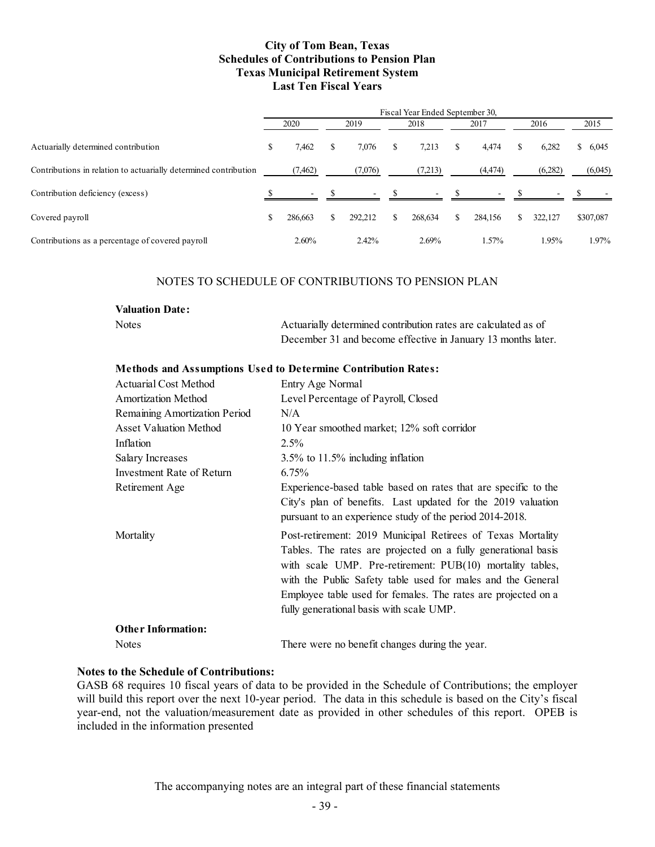#### **City of Tom Bean, Texas Schedules of Contributions to Pension Plan Texas Municipal Retirement System Last Ten Fiscal Years**

|                                                                  | Fiscal Year Ended September 30, |          |      |         |      |         |       |          |      |         |             |  |
|------------------------------------------------------------------|---------------------------------|----------|------|---------|------|---------|-------|----------|------|---------|-------------|--|
|                                                                  | 2020                            |          | 2019 |         | 2018 |         | 2017  |          | 2016 |         | 2015        |  |
| Actuarially determined contribution                              | \$                              | 7,462    | \$   | 7.076   | S    | 7,213   |       | 4.474    | Х    | 6,282   | 6,045<br>\$ |  |
| Contributions in relation to actuarially determined contribution |                                 | (7, 462) |      | (7,076) |      | (7,213) |       | (4, 474) |      | (6,282) | (6,045)     |  |
| Contribution deficiency (excess)                                 |                                 | -        |      | $\sim$  |      |         | $-$ S | $\sim$   |      |         |             |  |
| Covered payroll                                                  | \$                              | 286,663  | S.   | 292,212 | S.   | 268,634 | S.    | 284.156  | S.   | 322,127 | \$307,087   |  |
| Contributions as a percentage of covered payroll                 |                                 | 2.60%    |      | 2.42%   |      | 2.69%   |       | 1.57%    |      | 1.95%   | 1.97%       |  |

#### NOTES TO SCHEDULE OF CONTRIBUTIONS TO PENSION PLAN

#### **Valuation Date:**

Notes and Actuarially determined contribution rates are calculated as of December 31 and become effective in January 13 months later.

#### **Methods and Assumptions Used to Determine Contribution Rates:**

| <b>Actuarial Cost Method</b>  | Entry Age Normal                                                                                                                                                                                                                                                                                                                                                      |
|-------------------------------|-----------------------------------------------------------------------------------------------------------------------------------------------------------------------------------------------------------------------------------------------------------------------------------------------------------------------------------------------------------------------|
| Amortization Method           | Level Percentage of Payroll, Closed                                                                                                                                                                                                                                                                                                                                   |
| Remaining Amortization Period | N/A                                                                                                                                                                                                                                                                                                                                                                   |
| <b>Asset Valuation Method</b> | 10 Year smoothed market; 12% soft corridor                                                                                                                                                                                                                                                                                                                            |
| Inflation                     | $2.5\%$                                                                                                                                                                                                                                                                                                                                                               |
| Salary Increases              | $3.5\%$ to 11.5% including inflation                                                                                                                                                                                                                                                                                                                                  |
| Investment Rate of Return     | 6.75%                                                                                                                                                                                                                                                                                                                                                                 |
| Retirement Age                | Experience-based table based on rates that are specific to the                                                                                                                                                                                                                                                                                                        |
|                               | City's plan of benefits. Last updated for the 2019 valuation<br>pursuant to an experience study of the period 2014-2018.                                                                                                                                                                                                                                              |
| Mortality                     | Post-retirement: 2019 Municipal Retirees of Texas Mortality<br>Tables. The rates are projected on a fully generational basis<br>with scale UMP. Pre-retirement: PUB(10) mortality tables,<br>with the Public Safety table used for males and the General<br>Employee table used for females. The rates are projected on a<br>fully generational basis with scale UMP. |
| <b>Other Information:</b>     |                                                                                                                                                                                                                                                                                                                                                                       |
| <b>Notes</b>                  | There were no benefit changes during the year.                                                                                                                                                                                                                                                                                                                        |

## **Notes to the Schedule of Contributions:**

GASB 68 requires 10 fiscal years of data to be provided in the Schedule of Contributions; the employer will build this report over the next 10-year period. The data in this schedule is based on the City's fiscal year-end, not the valuation/measurement date as provided in other schedules of this report. OPEB is included in the information presented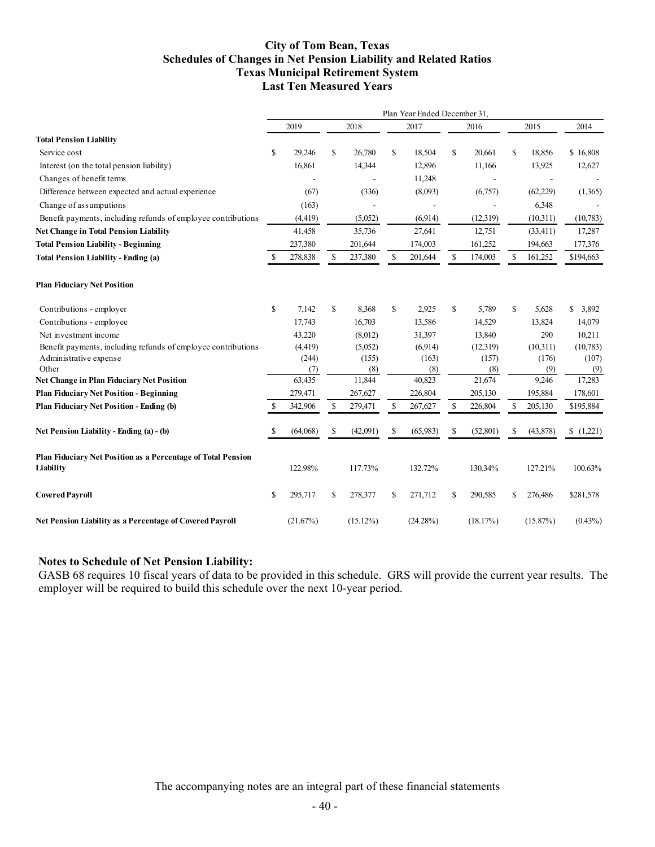#### **City of Tom Bean, Texas Schedules of Changes in Net Pension Liability and Related Ratios Texas Municipal Retirement System Last Ten Measured Years**

|                                                                                                    | Plan Year Ended December 31, |               |    |               |    |               |    |               |    |              |               |
|----------------------------------------------------------------------------------------------------|------------------------------|---------------|----|---------------|----|---------------|----|---------------|----|--------------|---------------|
|                                                                                                    |                              | 2019          |    | 2018          |    | 2017          |    | 2016          |    | 2015         | 2014          |
| <b>Total Pension Liability</b>                                                                     |                              |               |    |               |    |               |    |               |    |              |               |
| Service cost                                                                                       | \$                           | 29,246        | \$ | 26,780        | \$ | 18,504        | \$ | 20,661        | \$ | 18,856       | \$16,808      |
| Interest (on the total pension liability)                                                          |                              | 16,861        |    | 14,344        |    | 12,896        |    | 11,166        |    | 13,925       | 12,627        |
| Changes of benefit terms                                                                           |                              |               |    |               |    | 11,248        |    |               |    |              |               |
| Difference between expected and actual experience                                                  |                              | (67)          |    | (336)         |    | (8,093)       |    | (6,757)       |    | (62, 229)    | (1,365)       |
| Change of assumputions                                                                             |                              | (163)         |    |               |    |               |    |               |    | 6,348        |               |
| Benefit payments, including refunds of employee contributions                                      |                              | (4, 419)      |    | (5,052)       |    | (6,914)       |    | (12, 319)     |    | (10,311)     | (10,783)      |
| <b>Net Change in Total Pension Liability</b>                                                       |                              | 41,458        |    | 35,736        |    | 27,641        |    | 12,751        |    | (33, 411)    | 17,287        |
| <b>Total Pension Liability - Beginning</b>                                                         |                              | 237,380       |    | 201,644       |    | 174,003       |    | 161,252       |    | 194,663      | 177,376       |
| <b>Total Pension Liability - Ending (a)</b>                                                        | S                            | 278,838       | \$ | 237,380       | \$ | 201,644       | \$ | 174,003       | \$ | 161,252      | \$194,663     |
| <b>Plan Fiduciary Net Position</b>                                                                 |                              |               |    |               |    |               |    |               |    |              |               |
| Contributions - employer                                                                           | \$                           | 7,142         | \$ | 8,368         | \$ | 2,925         | \$ | 5,789         | \$ | 5,628        | \$3,892       |
| Contributions - employee                                                                           |                              | 17,743        |    | 16,703        |    | 13,586        |    | 14,529        |    | 13,824       | 14,079        |
| Net investment income                                                                              |                              | 43,220        |    | (8,012)       |    | 31,397        |    | 13,840        |    | 290          | 10,211        |
| Benefit payments, including refunds of employee contributions                                      |                              | (4, 419)      |    | (5,052)       |    | (6,914)       |    | (12,319)      |    | (10,311)     | (10,783)      |
| Administrative expense                                                                             |                              | (244)         |    | (155)         |    | (163)         |    | (157)         |    | (176)        | (107)         |
| Other                                                                                              |                              | (7)<br>63,435 |    | (8)<br>11,844 |    | (8)<br>40,823 |    | (8)<br>21,674 |    | (9)<br>9,246 | (9)<br>17,283 |
| <b>Net Change in Plan Fiduciary Net Position</b><br><b>Plan Fiduciary Net Position - Beginning</b> |                              |               |    |               |    | 226,804       |    | 205,130       |    | 195,884      | 178,601       |
|                                                                                                    |                              | 279,471       |    | 267,627       |    |               |    |               |    |              |               |
| Plan Fiduciary Net Position - Ending (b)                                                           | S                            | 342,906       | \$ | 279,471       | \$ | 267,627       | \$ | 226,804       | S  | 205,130      | \$195,884     |
| Net Pension Liability - Ending (a) - (b)                                                           |                              | (64,068)      | S  | (42,091)      | S  | (65,983)      | S  | (52, 801)     | S  | (43,878)     | (1,221)<br>S. |
| Plan Fiduciary Net Position as a Percentage of Total Pension<br>Liability                          |                              | 122.98%       |    | 117.73%       |    | 132.72%       |    | 130.34%       |    | 127.21%      | 100.63%       |
| <b>Covered Payroll</b>                                                                             | \$                           | 295,717       | S  | 278,377       | \$ | 271,712       | \$ | 290,585       | \$ | 276,486      | \$281,578     |
| Net Pension Liability as a Percentage of Covered Payroll                                           |                              | (21.67%)      |    | (15.12%)      |    | (24.28%)      |    | (18.17%)      |    | (15.87%)     | $(0.43\%)$    |

# **Notes to Schedule of Net Pension Liability:**

GASB 68 requires 10 fiscal years of data to be provided in this schedule. GRS will provide the current year results. The employer will be required to build this schedule over the next 10-year period.